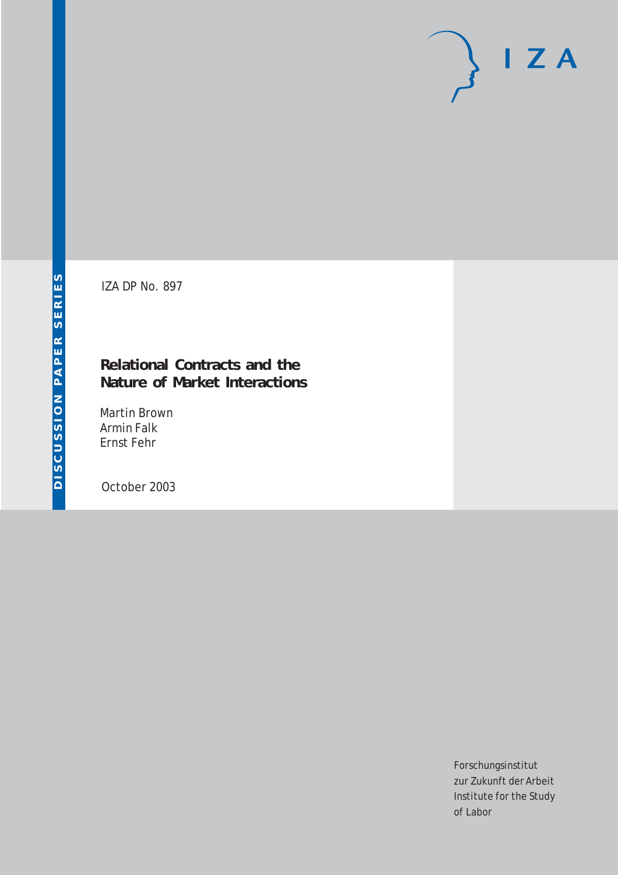# $I Z A$

IZA DP No. 897

## **Relational Contracts and the Nature of Market Interactions**

Martin Brown Armin Falk Ernst Fehr

October 2003

Forschungsinstitut zur Zukunft der Arbeit Institute for the Study of Labor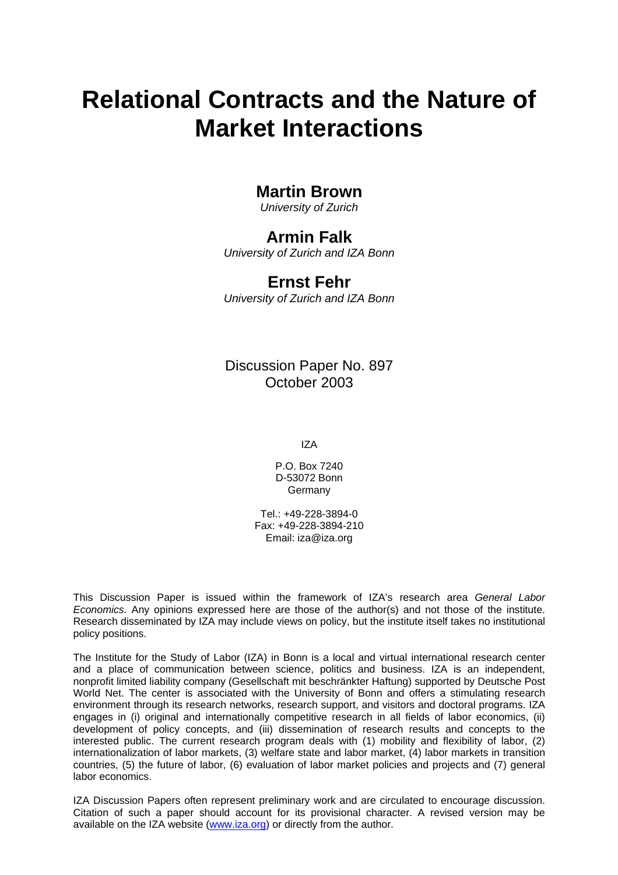# **Relational Contracts and the Nature of Market Interactions**

## **Martin Brown**

*University of Zurich*

## **Armin Falk**

*University of Zurich and IZA Bonn*

## **Ernst Fehr**

*University of Zurich and IZA Bonn* 

Discussion Paper No. 897 October 2003

IZA

P.O. Box 7240 D-53072 Bonn Germany

Tel.: +49-228-3894-0 Fax: +49-228-3894-210 Email: [iza@iza.org](mailto:iza@iza.org)

This Discussion Paper is issued within the framework of IZA's research area *General Labor Economics.* Any opinions expressed here are those of the author(s) and not those of the institute. Research disseminated by IZA may include views on policy, but the institute itself takes no institutional policy positions.

The Institute for the Study of Labor (IZA) in Bonn is a local and virtual international research center and a place of communication between science, politics and business. IZA is an independent, nonprofit limited liability company (Gesellschaft mit beschränkter Haftung) supported by Deutsche Post World Net. The center is associated with the University of Bonn and offers a stimulating research environment through its research networks, research support, and visitors and doctoral programs. IZA engages in (i) original and internationally competitive research in all fields of labor economics, (ii) development of policy concepts, and (iii) dissemination of research results and concepts to the interested public. The current research program deals with (1) mobility and flexibility of labor, (2) internationalization of labor markets, (3) welfare state and labor market, (4) labor markets in transition countries, (5) the future of labor, (6) evaluation of labor market policies and projects and (7) general labor economics.

IZA Discussion Papers often represent preliminary work and are circulated to encourage discussion. Citation of such a paper should account for its provisional character. A revised version may be available on the IZA website ([www.iza.org](http://www.iza.org/)) or directly from the author.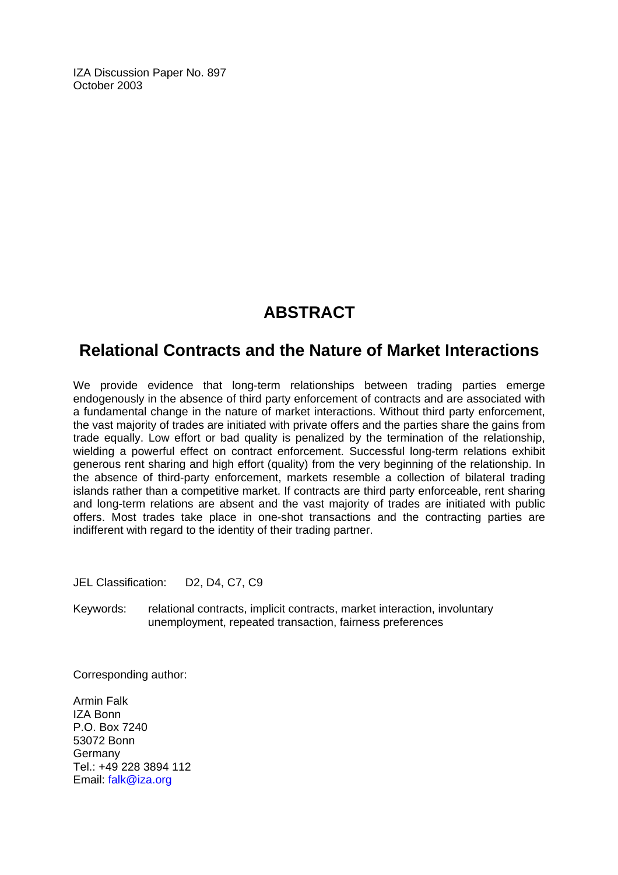IZA Discussion Paper No. 897 October 2003

## **ABSTRACT**

## **Relational Contracts and the Nature of Market Interactions**

We provide evidence that long-term relationships between trading parties emerge endogenously in the absence of third party enforcement of contracts and are associated with a fundamental change in the nature of market interactions. Without third party enforcement, the vast majority of trades are initiated with private offers and the parties share the gains from trade equally. Low effort or bad quality is penalized by the termination of the relationship, wielding a powerful effect on contract enforcement. Successful long-term relations exhibit generous rent sharing and high effort (quality) from the very beginning of the relationship. In the absence of third-party enforcement, markets resemble a collection of bilateral trading islands rather than a competitive market. If contracts are third party enforceable, rent sharing and long-term relations are absent and the vast majority of trades are initiated with public offers. Most trades take place in one-shot transactions and the contracting parties are indifferent with regard to the identity of their trading partner.

JEL Classification: D2, D4, C7, C9

Keywords: relational contracts, implicit contracts, market interaction, involuntary unemployment, repeated transaction, fairness preferences

Corresponding author:

Armin Falk IZA Bonn P.O. Box 7240 53072 Bonn Germany Tel.: +49 228 3894 112 Email: [falk@iza.org](mailto:falk@iza.org)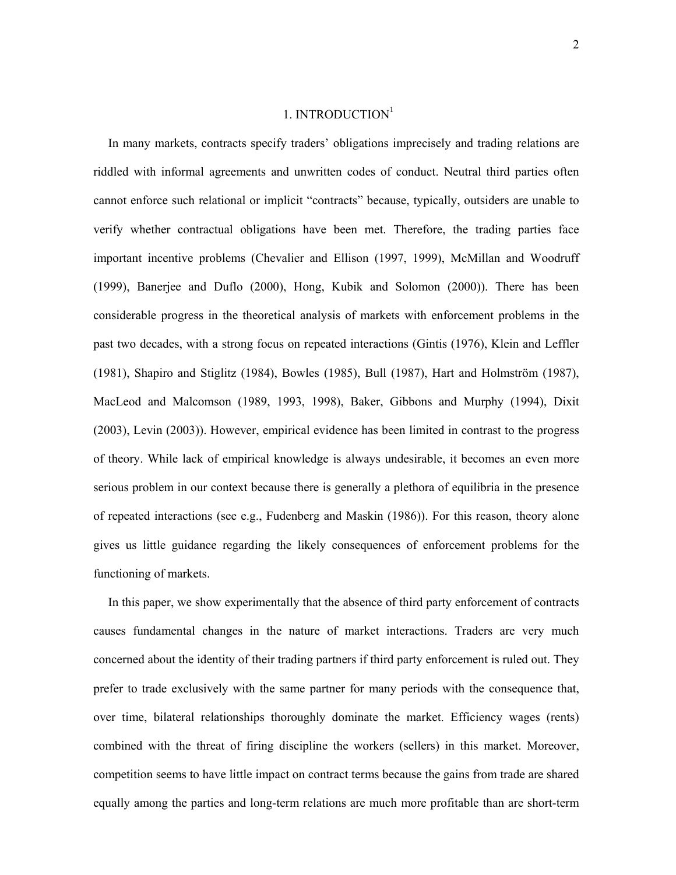#### 1. INTRODUCTION<sup>1</sup>

In many markets, contracts specify traders' obligations imprecisely and trading relations are riddled with informal agreements and unwritten codes of conduct. Neutral third parties often cannot enforce such relational or implicit "contracts" because, typically, outsiders are unable to verify whether contractual obligations have been met. Therefore, the trading parties face important incentive problems (Chevalier and Ellison (1997, 1999), McMillan and Woodruff (1999), Banerjee and Duflo (2000), Hong, Kubik and Solomon (2000)). There has been considerable progress in the theoretical analysis of markets with enforcement problems in the past two decades, with a strong focus on repeated interactions (Gintis (1976), Klein and Leffler (1981), Shapiro and Stiglitz (1984), Bowles (1985), Bull (1987), Hart and Holmström (1987), MacLeod and Malcomson (1989, 1993, 1998), Baker, Gibbons and Murphy (1994), Dixit (2003), Levin (2003)). However, empirical evidence has been limited in contrast to the progress of theory. While lack of empirical knowledge is always undesirable, it becomes an even more serious problem in our context because there is generally a plethora of equilibria in the presence of repeated interactions (see e.g., Fudenberg and Maskin (1986)). For this reason, theory alone gives us little guidance regarding the likely consequences of enforcement problems for the functioning of markets.

In this paper, we show experimentally that the absence of third party enforcement of contracts causes fundamental changes in the nature of market interactions. Traders are very much concerned about the identity of their trading partners if third party enforcement is ruled out. They prefer to trade exclusively with the same partner for many periods with the consequence that, over time, bilateral relationships thoroughly dominate the market. Efficiency wages (rents) combined with the threat of firing discipline the workers (sellers) in this market. Moreover, competition seems to have little impact on contract terms because the gains from trade are shared equally among the parties and long-term relations are much more profitable than are short-term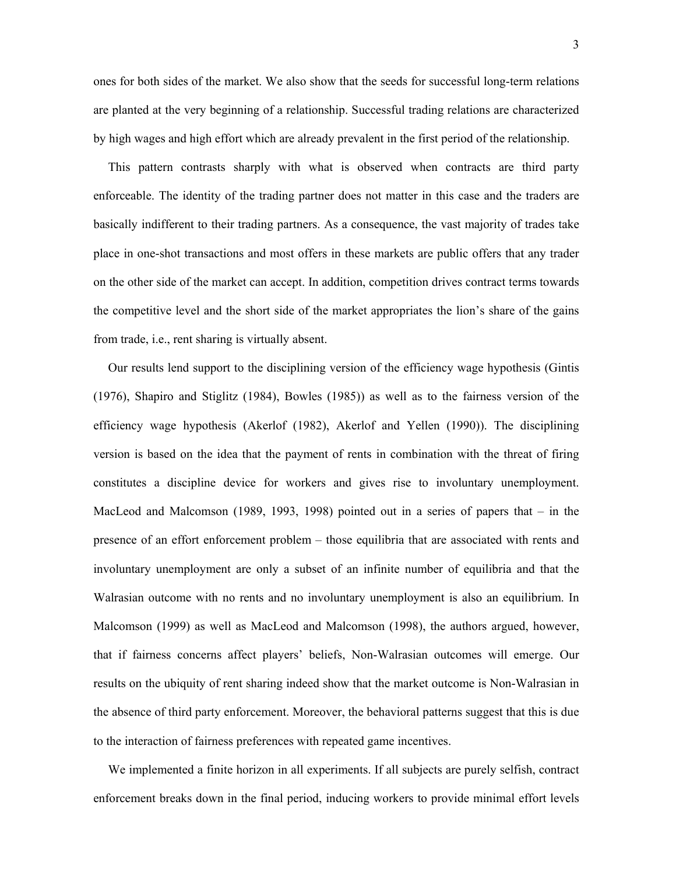ones for both sides of the market. We also show that the seeds for successful long-term relations are planted at the very beginning of a relationship. Successful trading relations are characterized by high wages and high effort which are already prevalent in the first period of the relationship.

This pattern contrasts sharply with what is observed when contracts are third party enforceable. The identity of the trading partner does not matter in this case and the traders are basically indifferent to their trading partners. As a consequence, the vast majority of trades take place in one-shot transactions and most offers in these markets are public offers that any trader on the other side of the market can accept. In addition, competition drives contract terms towards the competitive level and the short side of the market appropriates the lion's share of the gains from trade, i.e., rent sharing is virtually absent.

Our results lend support to the disciplining version of the efficiency wage hypothesis (Gintis (1976), Shapiro and Stiglitz (1984), Bowles (1985)) as well as to the fairness version of the efficiency wage hypothesis (Akerlof (1982), Akerlof and Yellen (1990)). The disciplining version is based on the idea that the payment of rents in combination with the threat of firing constitutes a discipline device for workers and gives rise to involuntary unemployment. MacLeod and Malcomson (1989, 1993, 1998) pointed out in a series of papers that – in the presence of an effort enforcement problem – those equilibria that are associated with rents and involuntary unemployment are only a subset of an infinite number of equilibria and that the Walrasian outcome with no rents and no involuntary unemployment is also an equilibrium. In Malcomson (1999) as well as MacLeod and Malcomson (1998), the authors argued, however, that if fairness concerns affect players' beliefs, Non-Walrasian outcomes will emerge. Our results on the ubiquity of rent sharing indeed show that the market outcome is Non-Walrasian in the absence of third party enforcement. Moreover, the behavioral patterns suggest that this is due to the interaction of fairness preferences with repeated game incentives.

We implemented a finite horizon in all experiments. If all subjects are purely selfish, contract enforcement breaks down in the final period, inducing workers to provide minimal effort levels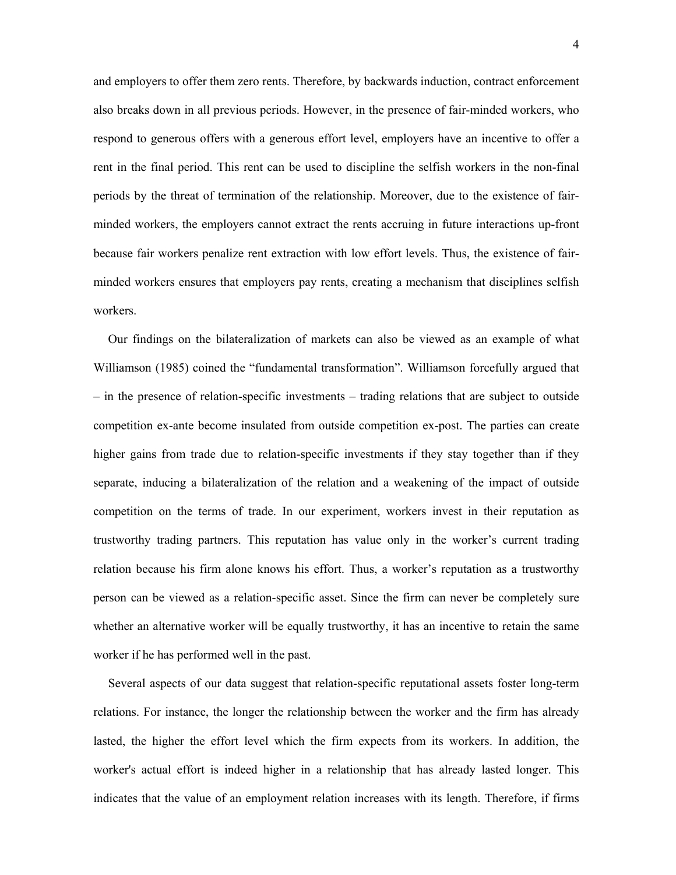and employers to offer them zero rents. Therefore, by backwards induction, contract enforcement also breaks down in all previous periods. However, in the presence of fair-minded workers, who respond to generous offers with a generous effort level, employers have an incentive to offer a rent in the final period. This rent can be used to discipline the selfish workers in the non-final periods by the threat of termination of the relationship. Moreover, due to the existence of fairminded workers, the employers cannot extract the rents accruing in future interactions up-front because fair workers penalize rent extraction with low effort levels. Thus, the existence of fairminded workers ensures that employers pay rents, creating a mechanism that disciplines selfish workers.

Our findings on the bilateralization of markets can also be viewed as an example of what Williamson (1985) coined the "fundamental transformation". Williamson forcefully argued that – in the presence of relation-specific investments – trading relations that are subject to outside competition ex-ante become insulated from outside competition ex-post. The parties can create higher gains from trade due to relation-specific investments if they stay together than if they separate, inducing a bilateralization of the relation and a weakening of the impact of outside competition on the terms of trade. In our experiment, workers invest in their reputation as trustworthy trading partners. This reputation has value only in the worker's current trading relation because his firm alone knows his effort. Thus, a worker's reputation as a trustworthy person can be viewed as a relation-specific asset. Since the firm can never be completely sure whether an alternative worker will be equally trustworthy, it has an incentive to retain the same worker if he has performed well in the past.

Several aspects of our data suggest that relation-specific reputational assets foster long-term relations. For instance, the longer the relationship between the worker and the firm has already lasted, the higher the effort level which the firm expects from its workers. In addition, the worker's actual effort is indeed higher in a relationship that has already lasted longer. This indicates that the value of an employment relation increases with its length. Therefore, if firms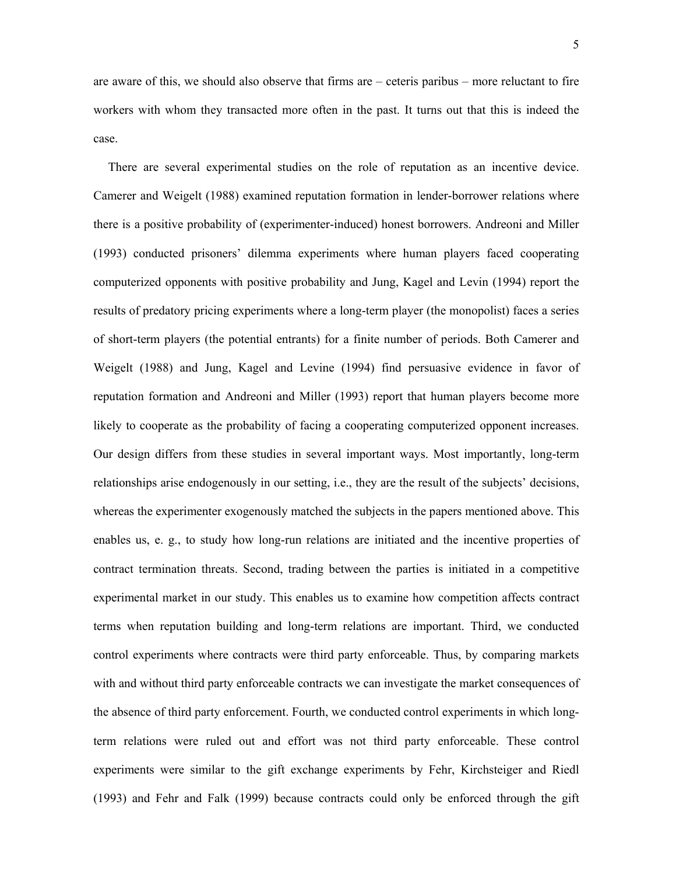are aware of this, we should also observe that firms are – ceteris paribus – more reluctant to fire workers with whom they transacted more often in the past. It turns out that this is indeed the case.

There are several experimental studies on the role of reputation as an incentive device. Camerer and Weigelt (1988) examined reputation formation in lender-borrower relations where there is a positive probability of (experimenter-induced) honest borrowers. Andreoni and Miller (1993) conducted prisoners' dilemma experiments where human players faced cooperating computerized opponents with positive probability and Jung, Kagel and Levin (1994) report the results of predatory pricing experiments where a long-term player (the monopolist) faces a series of short-term players (the potential entrants) for a finite number of periods. Both Camerer and Weigelt (1988) and Jung, Kagel and Levine (1994) find persuasive evidence in favor of reputation formation and Andreoni and Miller (1993) report that human players become more likely to cooperate as the probability of facing a cooperating computerized opponent increases. Our design differs from these studies in several important ways. Most importantly, long-term relationships arise endogenously in our setting, i.e., they are the result of the subjects' decisions, whereas the experimenter exogenously matched the subjects in the papers mentioned above. This enables us, e. g., to study how long-run relations are initiated and the incentive properties of contract termination threats. Second, trading between the parties is initiated in a competitive experimental market in our study. This enables us to examine how competition affects contract terms when reputation building and long-term relations are important. Third, we conducted control experiments where contracts were third party enforceable. Thus, by comparing markets with and without third party enforceable contracts we can investigate the market consequences of the absence of third party enforcement. Fourth, we conducted control experiments in which longterm relations were ruled out and effort was not third party enforceable. These control experiments were similar to the gift exchange experiments by Fehr, Kirchsteiger and Riedl (1993) and Fehr and Falk (1999) because contracts could only be enforced through the gift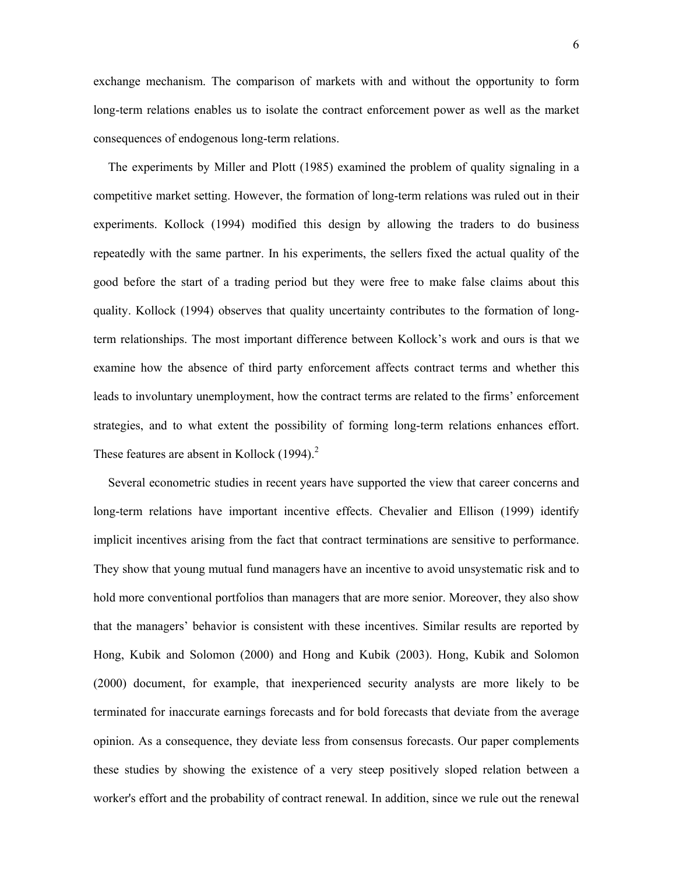exchange mechanism. The comparison of markets with and without the opportunity to form long-term relations enables us to isolate the contract enforcement power as well as the market consequences of endogenous long-term relations.

The experiments by Miller and Plott (1985) examined the problem of quality signaling in a competitive market setting. However, the formation of long-term relations was ruled out in their experiments. Kollock (1994) modified this design by allowing the traders to do business repeatedly with the same partner. In his experiments, the sellers fixed the actual quality of the good before the start of a trading period but they were free to make false claims about this quality. Kollock (1994) observes that quality uncertainty contributes to the formation of longterm relationships. The most important difference between Kollock's work and ours is that we examine how the absence of third party enforcement affects contract terms and whether this leads to involuntary unemployment, how the contract terms are related to the firms' enforcement strategies, and to what extent the possibility of forming long-term relations enhances effort. These features are absent in Kollock  $(1994)$ <sup>2</sup>

Several econometric studies in recent years have supported the view that career concerns and long-term relations have important incentive effects. Chevalier and Ellison (1999) identify implicit incentives arising from the fact that contract terminations are sensitive to performance. They show that young mutual fund managers have an incentive to avoid unsystematic risk and to hold more conventional portfolios than managers that are more senior. Moreover, they also show that the managers' behavior is consistent with these incentives. Similar results are reported by Hong, Kubik and Solomon (2000) and Hong and Kubik (2003). Hong, Kubik and Solomon (2000) document, for example, that inexperienced security analysts are more likely to be terminated for inaccurate earnings forecasts and for bold forecasts that deviate from the average opinion. As a consequence, they deviate less from consensus forecasts. Our paper complements these studies by showing the existence of a very steep positively sloped relation between a worker's effort and the probability of contract renewal. In addition, since we rule out the renewal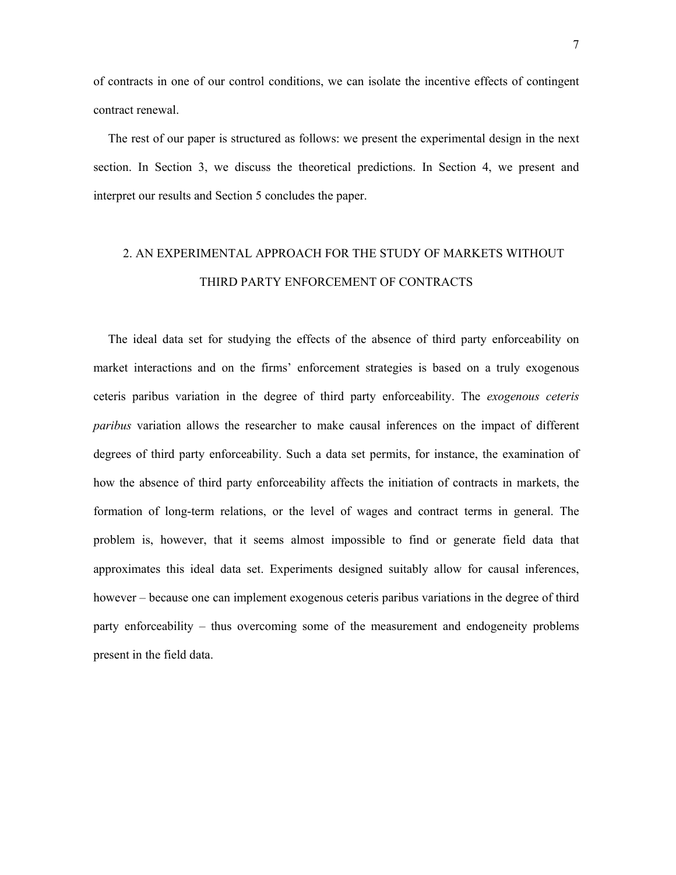of contracts in one of our control conditions, we can isolate the incentive effects of contingent contract renewal.

The rest of our paper is structured as follows: we present the experimental design in the next section. In Section 3, we discuss the theoretical predictions. In Section 4, we present and interpret our results and Section 5 concludes the paper.

## 2. AN EXPERIMENTAL APPROACH FOR THE STUDY OF MARKETS WITHOUT THIRD PARTY ENFORCEMENT OF CONTRACTS

The ideal data set for studying the effects of the absence of third party enforceability on market interactions and on the firms' enforcement strategies is based on a truly exogenous ceteris paribus variation in the degree of third party enforceability. The *exogenous ceteris paribus* variation allows the researcher to make causal inferences on the impact of different degrees of third party enforceability. Such a data set permits, for instance, the examination of how the absence of third party enforceability affects the initiation of contracts in markets, the formation of long-term relations, or the level of wages and contract terms in general. The problem is, however, that it seems almost impossible to find or generate field data that approximates this ideal data set. Experiments designed suitably allow for causal inferences, however – because one can implement exogenous ceteris paribus variations in the degree of third party enforceability – thus overcoming some of the measurement and endogeneity problems present in the field data.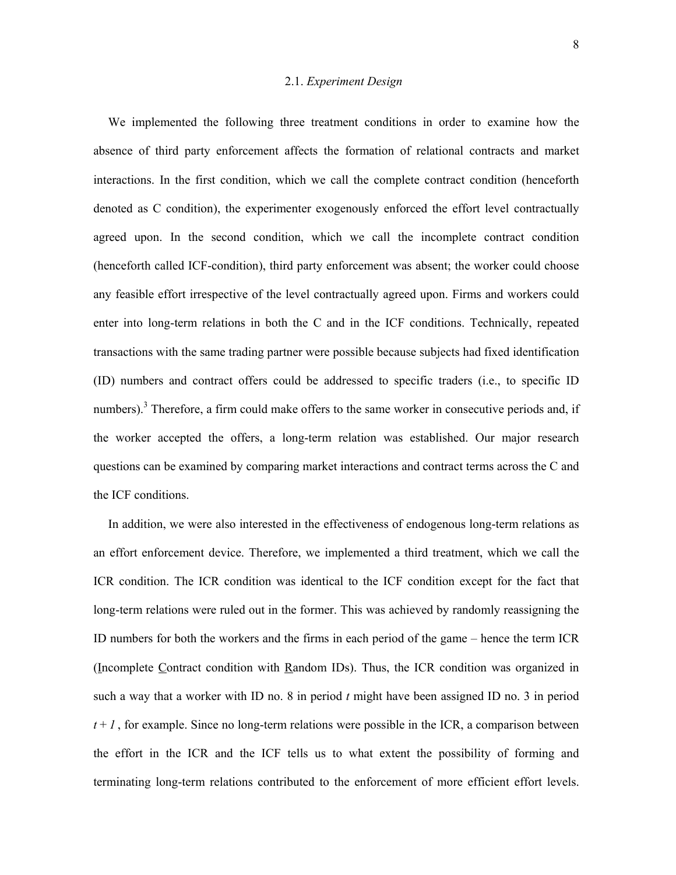#### 2.1. *Experiment Design*

We implemented the following three treatment conditions in order to examine how the absence of third party enforcement affects the formation of relational contracts and market interactions. In the first condition, which we call the complete contract condition (henceforth denoted as C condition), the experimenter exogenously enforced the effort level contractually agreed upon. In the second condition, which we call the incomplete contract condition (henceforth called ICF-condition), third party enforcement was absent; the worker could choose any feasible effort irrespective of the level contractually agreed upon. Firms and workers could enter into long-term relations in both the C and in the ICF conditions. Technically, repeated transactions with the same trading partner were possible because subjects had fixed identification (ID) numbers and contract offers could be addressed to specific traders (i.e., to specific ID numbers).<sup>3</sup> Therefore, a firm could make offers to the same worker in consecutive periods and, if the worker accepted the offers, a long-term relation was established. Our major research questions can be examined by comparing market interactions and contract terms across the C and the ICF conditions.

In addition, we were also interested in the effectiveness of endogenous long-term relations as an effort enforcement device. Therefore, we implemented a third treatment, which we call the ICR condition. The ICR condition was identical to the ICF condition except for the fact that long-term relations were ruled out in the former. This was achieved by randomly reassigning the ID numbers for both the workers and the firms in each period of the game – hence the term ICR (Incomplete Contract condition with Random IDs). Thus, the ICR condition was organized in such a way that a worker with ID no. 8 in period *t* might have been assigned ID no. 3 in period  $t+1$ , for example. Since no long-term relations were possible in the ICR, a comparison between the effort in the ICR and the ICF tells us to what extent the possibility of forming and terminating long-term relations contributed to the enforcement of more efficient effort levels.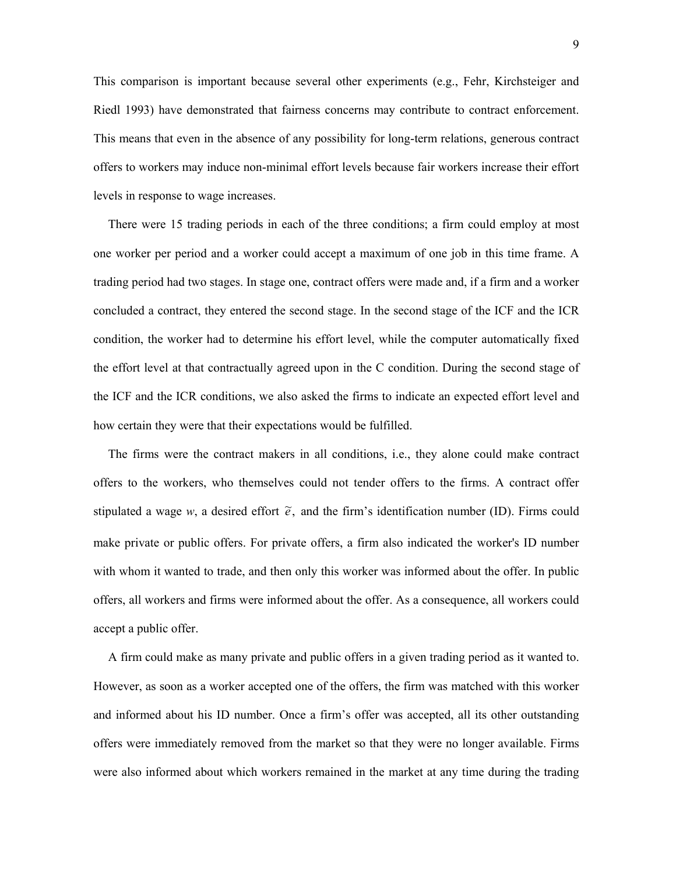This comparison is important because several other experiments (e.g., Fehr, Kirchsteiger and Riedl 1993) have demonstrated that fairness concerns may contribute to contract enforcement. This means that even in the absence of any possibility for long-term relations, generous contract offers to workers may induce non-minimal effort levels because fair workers increase their effort levels in response to wage increases.

There were 15 trading periods in each of the three conditions; a firm could employ at most one worker per period and a worker could accept a maximum of one job in this time frame. A trading period had two stages. In stage one, contract offers were made and, if a firm and a worker concluded a contract, they entered the second stage. In the second stage of the ICF and the ICR condition, the worker had to determine his effort level, while the computer automatically fixed the effort level at that contractually agreed upon in the C condition. During the second stage of the ICF and the ICR conditions, we also asked the firms to indicate an expected effort level and how certain they were that their expectations would be fulfilled.

The firms were the contract makers in all conditions, i.e., they alone could make contract offers to the workers, who themselves could not tender offers to the firms. A contract offer stipulated a wage *w*, a desired effort  $\tilde{e}$ , and the firm's identification number (ID). Firms could make private or public offers. For private offers, a firm also indicated the worker's ID number with whom it wanted to trade, and then only this worker was informed about the offer. In public offers, all workers and firms were informed about the offer. As a consequence, all workers could accept a public offer.

A firm could make as many private and public offers in a given trading period as it wanted to. However, as soon as a worker accepted one of the offers, the firm was matched with this worker and informed about his ID number. Once a firm's offer was accepted, all its other outstanding offers were immediately removed from the market so that they were no longer available. Firms were also informed about which workers remained in the market at any time during the trading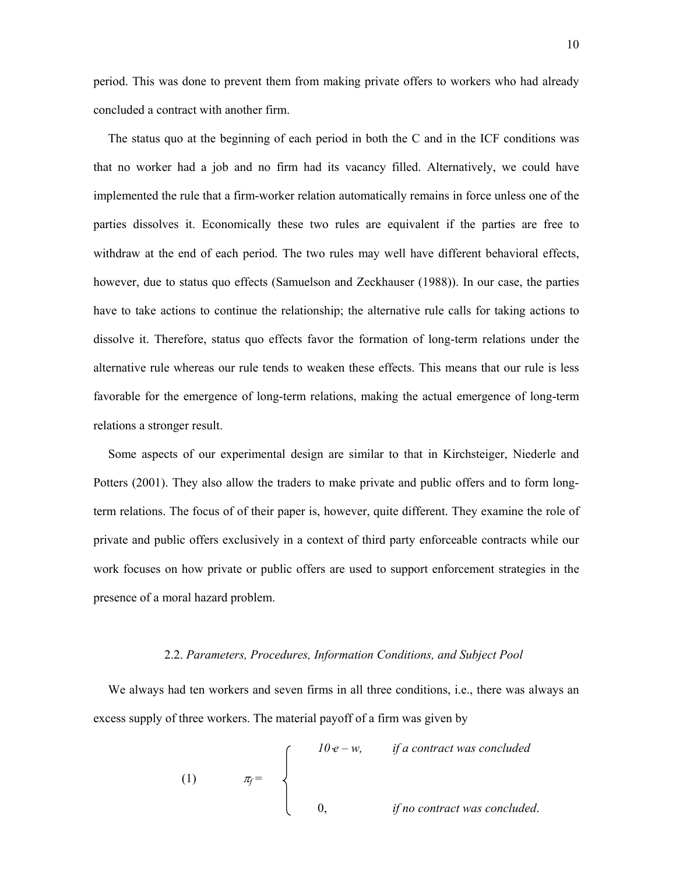period. This was done to prevent them from making private offers to workers who had already concluded a contract with another firm.

The status quo at the beginning of each period in both the C and in the ICF conditions was that no worker had a job and no firm had its vacancy filled. Alternatively, we could have implemented the rule that a firm-worker relation automatically remains in force unless one of the parties dissolves it. Economically these two rules are equivalent if the parties are free to withdraw at the end of each period. The two rules may well have different behavioral effects, however, due to status quo effects (Samuelson and Zeckhauser (1988)). In our case, the parties have to take actions to continue the relationship; the alternative rule calls for taking actions to dissolve it. Therefore, status quo effects favor the formation of long-term relations under the alternative rule whereas our rule tends to weaken these effects. This means that our rule is less favorable for the emergence of long-term relations, making the actual emergence of long-term relations a stronger result.

Some aspects of our experimental design are similar to that in Kirchsteiger, Niederle and Potters (2001). They also allow the traders to make private and public offers and to form longterm relations. The focus of of their paper is, however, quite different. They examine the role of private and public offers exclusively in a context of third party enforceable contracts while our work focuses on how private or public offers are used to support enforcement strategies in the presence of a moral hazard problem.

#### 2.2. *Parameters, Procedures, Information Conditions, and Subject Pool*

We always had ten workers and seven firms in all three conditions, i.e., there was always an excess supply of three workers. The material payoff of a firm was given by

(1) 
$$
\pi_f = \begin{cases} 10 \cdot e - w, & \text{if a contract was concluded} \\ 0, & \text{if no contract was concluded.} \end{cases}
$$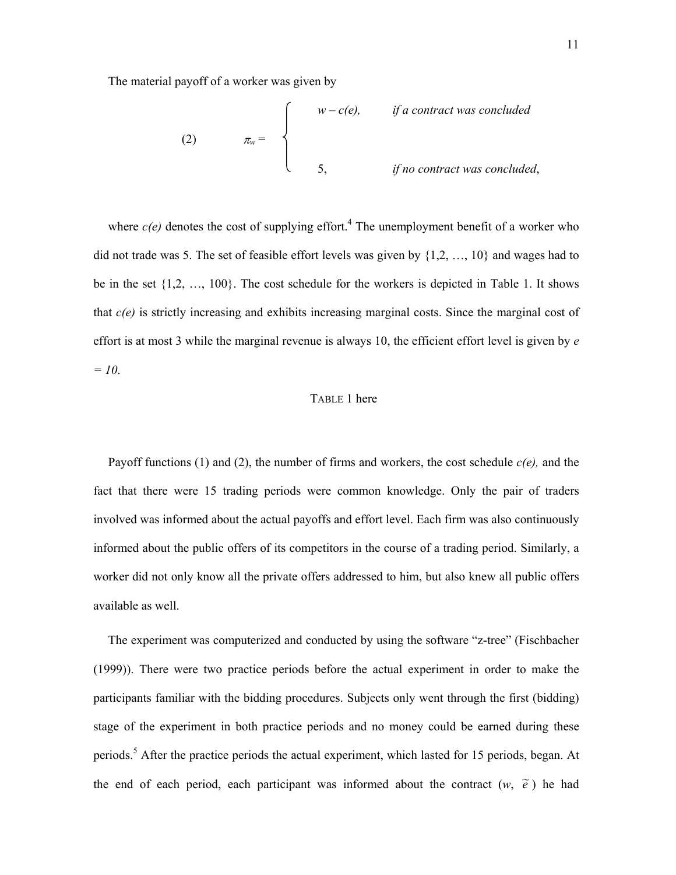The material payoff of a worker was given by

(2) 
$$
\pi_w = \begin{cases} w - c(e), & \text{if a contract was concluded} \\ 5, & \text{if no contract was concluded,} \end{cases}
$$

where  $c(e)$  denotes the cost of supplying effort.<sup>4</sup> The unemployment benefit of a worker who did not trade was 5. The set of feasible effort levels was given by {1,2, …, 10} and wages had to be in the set {1,2, …, 100}. The cost schedule for the workers is depicted in Table 1. It shows that *c(e)* is strictly increasing and exhibits increasing marginal costs. Since the marginal cost of effort is at most 3 while the marginal revenue is always 10, the efficient effort level is given by *e = 10*.

#### TABLE 1 here

Payoff functions (1) and (2), the number of firms and workers, the cost schedule *c(e),* and the fact that there were 15 trading periods were common knowledge. Only the pair of traders involved was informed about the actual payoffs and effort level. Each firm was also continuously informed about the public offers of its competitors in the course of a trading period. Similarly, a worker did not only know all the private offers addressed to him, but also knew all public offers available as well.

The experiment was computerized and conducted by using the software "z-tree" (Fischbacher (1999)). There were two practice periods before the actual experiment in order to make the participants familiar with the bidding procedures. Subjects only went through the first (bidding) stage of the experiment in both practice periods and no money could be earned during these periods.<sup>5</sup> After the practice periods the actual experiment, which lasted for 15 periods, began. At the end of each period, each participant was informed about the contract  $(w, \tilde{e})$  he had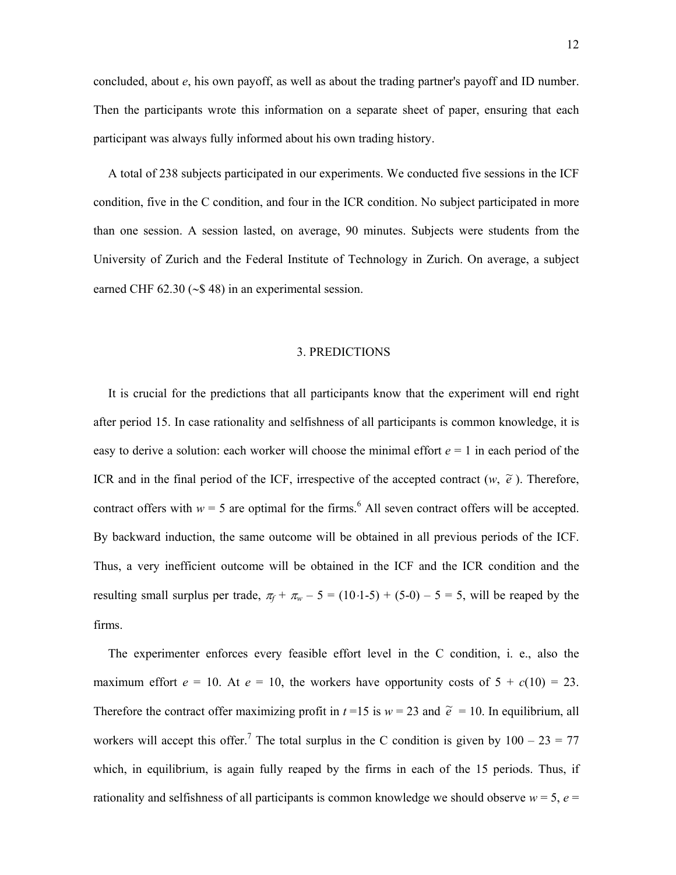concluded, about *e*, his own payoff, as well as about the trading partner's payoff and ID number. Then the participants wrote this information on a separate sheet of paper, ensuring that each participant was always fully informed about his own trading history.

A total of 238 subjects participated in our experiments. We conducted five sessions in the ICF condition, five in the C condition, and four in the ICR condition. No subject participated in more than one session. A session lasted, on average, 90 minutes. Subjects were students from the University of Zurich and the Federal Institute of Technology in Zurich. On average, a subject earned CHF 62.30 (∼\$ 48) in an experimental session.

#### 3. PREDICTIONS

It is crucial for the predictions that all participants know that the experiment will end right after period 15. In case rationality and selfishness of all participants is common knowledge, it is easy to derive a solution: each worker will choose the minimal effort *e* = 1 in each period of the ICR and in the final period of the ICF, irrespective of the accepted contract  $(w, \tilde{e})$ . Therefore, contract offers with  $w = 5$  are optimal for the firms.<sup>6</sup> All seven contract offers will be accepted. By backward induction, the same outcome will be obtained in all previous periods of the ICF. Thus, a very inefficient outcome will be obtained in the ICF and the ICR condition and the resulting small surplus per trade,  $\pi_f + \pi_w - 5 = (10 \cdot 1 \cdot 5) + (5 \cdot 0) - 5 = 5$ , will be reaped by the firms.

The experimenter enforces every feasible effort level in the C condition, i. e., also the maximum effort  $e = 10$ . At  $e = 10$ , the workers have opportunity costs of  $5 + c(10) = 23$ . Therefore the contract offer maximizing profit in  $t = 15$  is  $w = 23$  and  $\tilde{e} = 10$ . In equilibrium, all workers will accept this offer.<sup>7</sup> The total surplus in the C condition is given by  $100 - 23 = 77$ which, in equilibrium, is again fully reaped by the firms in each of the 15 periods. Thus, if rationality and selfishness of all participants is common knowledge we should observe  $w = 5$ ,  $e =$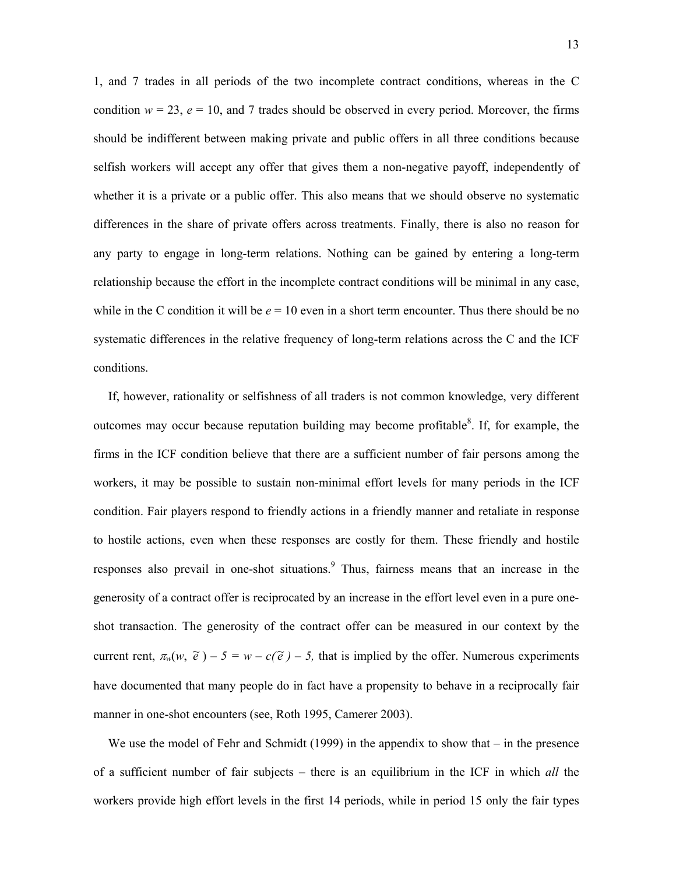1, and 7 trades in all periods of the two incomplete contract conditions, whereas in the C condition  $w = 23$ ,  $e = 10$ , and 7 trades should be observed in every period. Moreover, the firms should be indifferent between making private and public offers in all three conditions because selfish workers will accept any offer that gives them a non-negative payoff, independently of whether it is a private or a public offer. This also means that we should observe no systematic differences in the share of private offers across treatments. Finally, there is also no reason for any party to engage in long-term relations. Nothing can be gained by entering a long-term relationship because the effort in the incomplete contract conditions will be minimal in any case, while in the C condition it will be  $e = 10$  even in a short term encounter. Thus there should be no systematic differences in the relative frequency of long-term relations across the C and the ICF conditions.

If, however, rationality or selfishness of all traders is not common knowledge, very different outcomes may occur because reputation building may become profitable $8$ . If, for example, the firms in the ICF condition believe that there are a sufficient number of fair persons among the workers, it may be possible to sustain non-minimal effort levels for many periods in the ICF condition. Fair players respond to friendly actions in a friendly manner and retaliate in response to hostile actions, even when these responses are costly for them. These friendly and hostile responses also prevail in one-shot situations.<sup>9</sup> Thus, fairness means that an increase in the generosity of a contract offer is reciprocated by an increase in the effort level even in a pure oneshot transaction. The generosity of the contract offer can be measured in our context by the current rent,  $\pi_w(w, \tilde{e}) - 5 = w - c(\tilde{e}) - 5$ , that is implied by the offer. Numerous experiments have documented that many people do in fact have a propensity to behave in a reciprocally fair manner in one-shot encounters (see, Roth 1995, Camerer 2003).

We use the model of Fehr and Schmidt (1999) in the appendix to show that – in the presence of a sufficient number of fair subjects – there is an equilibrium in the ICF in which *all* the workers provide high effort levels in the first 14 periods, while in period 15 only the fair types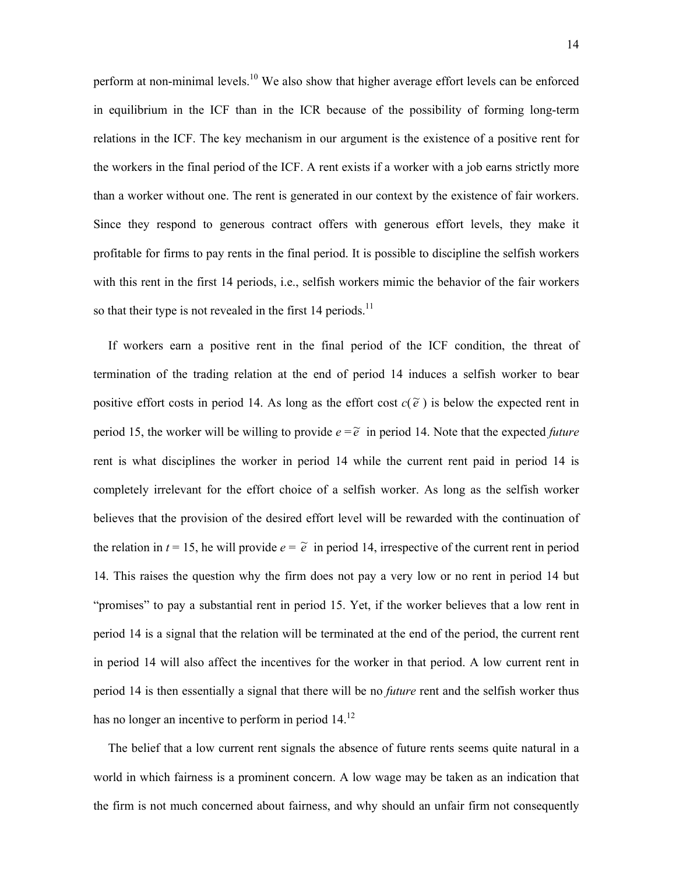perform at non-minimal levels.<sup>10</sup> We also show that higher average effort levels can be enforced in equilibrium in the ICF than in the ICR because of the possibility of forming long-term relations in the ICF. The key mechanism in our argument is the existence of a positive rent for the workers in the final period of the ICF. A rent exists if a worker with a job earns strictly more than a worker without one. The rent is generated in our context by the existence of fair workers. Since they respond to generous contract offers with generous effort levels, they make it profitable for firms to pay rents in the final period. It is possible to discipline the selfish workers with this rent in the first 14 periods, i.e., selfish workers mimic the behavior of the fair workers so that their type is not revealed in the first  $14$  periods.<sup>11</sup>

If workers earn a positive rent in the final period of the ICF condition, the threat of termination of the trading relation at the end of period 14 induces a selfish worker to bear positive effort costs in period 14. As long as the effort cost  $c(\tilde{e})$  is below the expected rent in period 15, the worker will be willing to provide  $e = \tilde{e}$  in period 14. Note that the expected *future* rent is what disciplines the worker in period 14 while the current rent paid in period 14 is completely irrelevant for the effort choice of a selfish worker. As long as the selfish worker believes that the provision of the desired effort level will be rewarded with the continuation of the relation in  $t = 15$ , he will provide  $e = \tilde{e}$  in period 14, irrespective of the current rent in period 14. This raises the question why the firm does not pay a very low or no rent in period 14 but "promises" to pay a substantial rent in period 15. Yet, if the worker believes that a low rent in period 14 is a signal that the relation will be terminated at the end of the period, the current rent in period 14 will also affect the incentives for the worker in that period. A low current rent in period 14 is then essentially a signal that there will be no *future* rent and the selfish worker thus has no longer an incentive to perform in period  $14<sup>12</sup>$ 

The belief that a low current rent signals the absence of future rents seems quite natural in a world in which fairness is a prominent concern. A low wage may be taken as an indication that the firm is not much concerned about fairness, and why should an unfair firm not consequently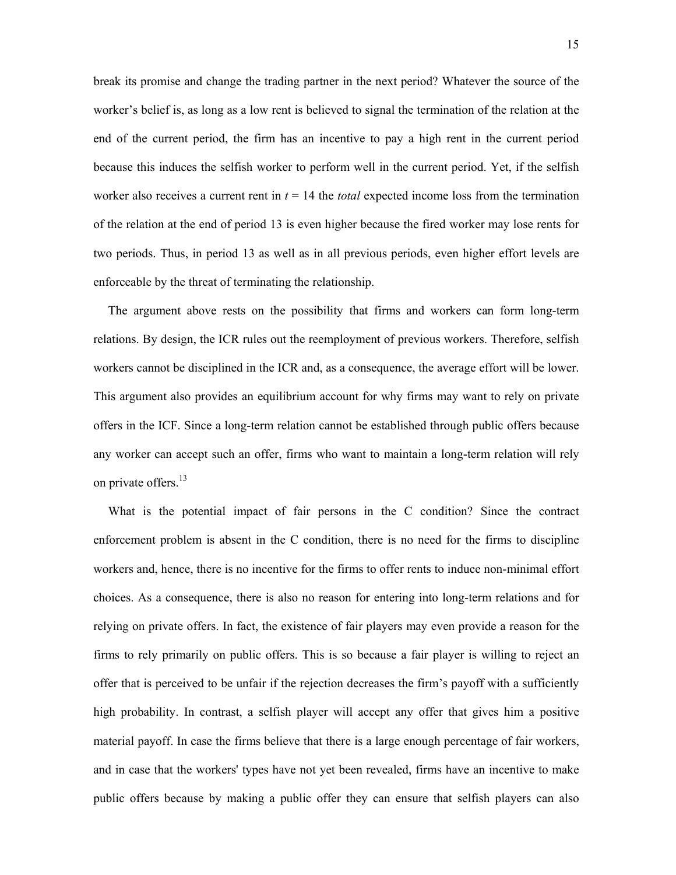break its promise and change the trading partner in the next period? Whatever the source of the worker's belief is, as long as a low rent is believed to signal the termination of the relation at the end of the current period, the firm has an incentive to pay a high rent in the current period because this induces the selfish worker to perform well in the current period. Yet, if the selfish worker also receives a current rent in  $t = 14$  the *total* expected income loss from the termination of the relation at the end of period 13 is even higher because the fired worker may lose rents for two periods. Thus, in period 13 as well as in all previous periods, even higher effort levels are enforceable by the threat of terminating the relationship.

The argument above rests on the possibility that firms and workers can form long-term relations. By design, the ICR rules out the reemployment of previous workers. Therefore, selfish workers cannot be disciplined in the ICR and, as a consequence, the average effort will be lower. This argument also provides an equilibrium account for why firms may want to rely on private offers in the ICF. Since a long-term relation cannot be established through public offers because any worker can accept such an offer, firms who want to maintain a long-term relation will rely on private offers.<sup>13</sup>

What is the potential impact of fair persons in the C condition? Since the contract enforcement problem is absent in the C condition, there is no need for the firms to discipline workers and, hence, there is no incentive for the firms to offer rents to induce non-minimal effort choices. As a consequence, there is also no reason for entering into long-term relations and for relying on private offers. In fact, the existence of fair players may even provide a reason for the firms to rely primarily on public offers. This is so because a fair player is willing to reject an offer that is perceived to be unfair if the rejection decreases the firm's payoff with a sufficiently high probability. In contrast, a selfish player will accept any offer that gives him a positive material payoff. In case the firms believe that there is a large enough percentage of fair workers, and in case that the workers' types have not yet been revealed, firms have an incentive to make public offers because by making a public offer they can ensure that selfish players can also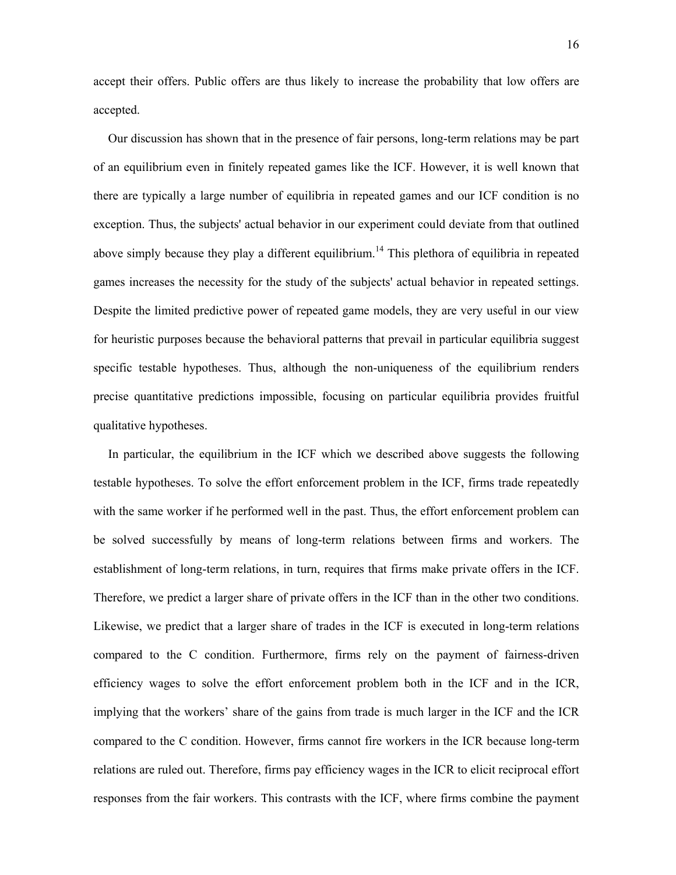accept their offers. Public offers are thus likely to increase the probability that low offers are accepted.

Our discussion has shown that in the presence of fair persons, long-term relations may be part of an equilibrium even in finitely repeated games like the ICF. However, it is well known that there are typically a large number of equilibria in repeated games and our ICF condition is no exception. Thus, the subjects' actual behavior in our experiment could deviate from that outlined above simply because they play a different equilibrium.<sup>14</sup> This plethora of equilibria in repeated games increases the necessity for the study of the subjects' actual behavior in repeated settings. Despite the limited predictive power of repeated game models, they are very useful in our view for heuristic purposes because the behavioral patterns that prevail in particular equilibria suggest specific testable hypotheses. Thus, although the non-uniqueness of the equilibrium renders precise quantitative predictions impossible, focusing on particular equilibria provides fruitful qualitative hypotheses.

In particular, the equilibrium in the ICF which we described above suggests the following testable hypotheses. To solve the effort enforcement problem in the ICF, firms trade repeatedly with the same worker if he performed well in the past. Thus, the effort enforcement problem can be solved successfully by means of long-term relations between firms and workers. The establishment of long-term relations, in turn, requires that firms make private offers in the ICF. Therefore, we predict a larger share of private offers in the ICF than in the other two conditions. Likewise, we predict that a larger share of trades in the ICF is executed in long-term relations compared to the C condition. Furthermore, firms rely on the payment of fairness-driven efficiency wages to solve the effort enforcement problem both in the ICF and in the ICR, implying that the workers' share of the gains from trade is much larger in the ICF and the ICR compared to the C condition. However, firms cannot fire workers in the ICR because long-term relations are ruled out. Therefore, firms pay efficiency wages in the ICR to elicit reciprocal effort responses from the fair workers. This contrasts with the ICF, where firms combine the payment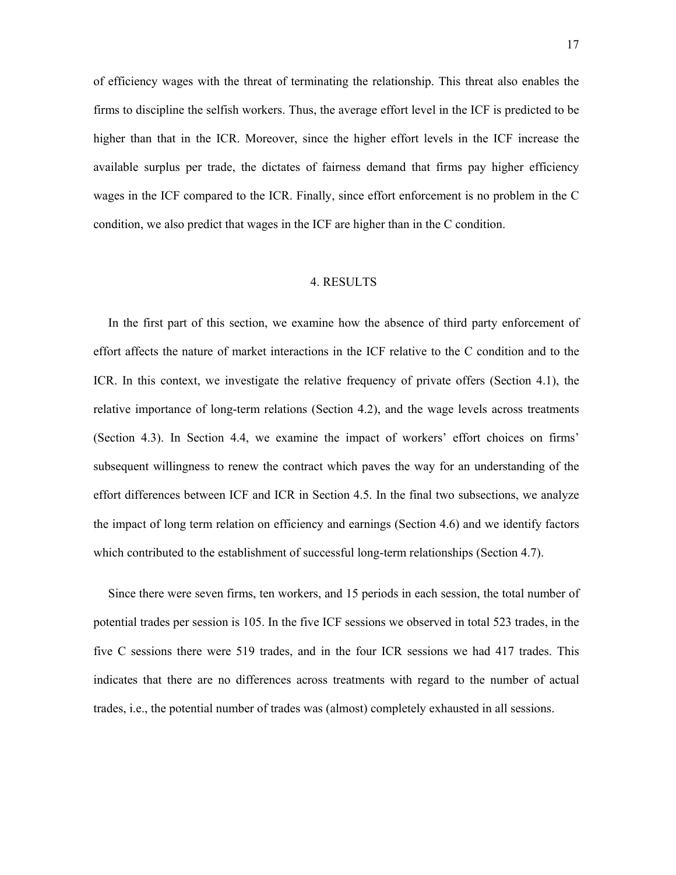of efficiency wages with the threat of terminating the relationship. This threat also enables the firms to discipline the selfish workers. Thus, the average effort level in the ICF is predicted to be higher than that in the ICR. Moreover, since the higher effort levels in the ICF increase the available surplus per trade, the dictates of fairness demand that firms pay higher efficiency wages in the ICF compared to the ICR. Finally, since effort enforcement is no problem in the C condition, we also predict that wages in the ICF are higher than in the C condition.

#### 4. RESULTS

In the first part of this section, we examine how the absence of third party enforcement of effort affects the nature of market interactions in the ICF relative to the C condition and to the ICR. In this context, we investigate the relative frequency of private offers (Section 4.1), the relative importance of long-term relations (Section 4.2), and the wage levels across treatments (Section 4.3). In Section 4.4, we examine the impact of workers' effort choices on firms' subsequent willingness to renew the contract which paves the way for an understanding of the effort differences between ICF and ICR in Section 4.5. In the final two subsections, we analyze the impact of long term relation on efficiency and earnings (Section 4.6) and we identify factors which contributed to the establishment of successful long-term relationships (Section 4.7).

Since there were seven firms, ten workers, and 15 periods in each session, the total number of potential trades per session is 105. In the five ICF sessions we observed in total 523 trades, in the five C sessions there were 519 trades, and in the four ICR sessions we had 417 trades. This indicates that there are no differences across treatments with regard to the number of actual trades, i.e., the potential number of trades was (almost) completely exhausted in all sessions.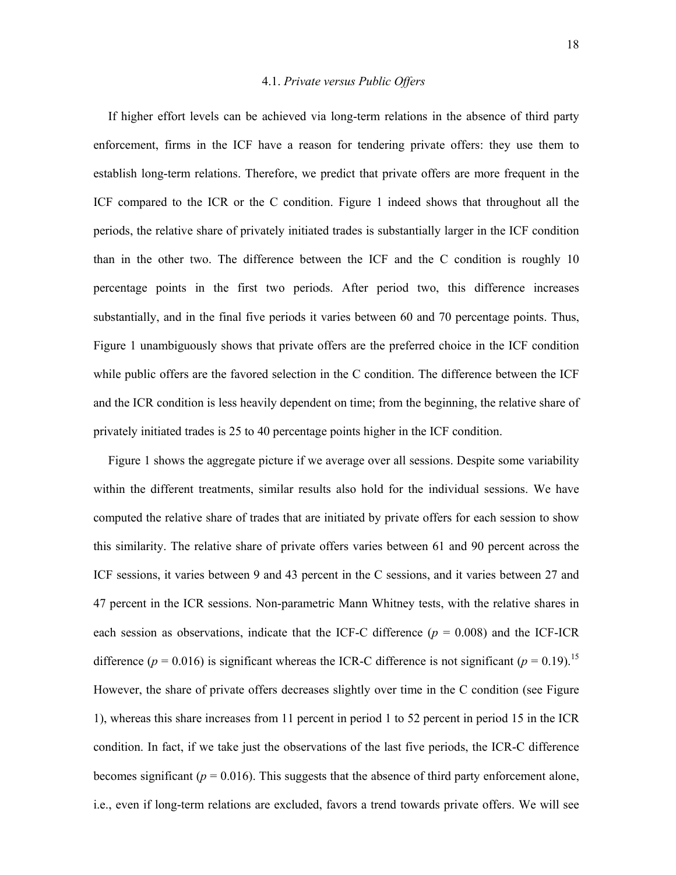#### 4.1. *Private versus Public Offers*

If higher effort levels can be achieved via long-term relations in the absence of third party enforcement, firms in the ICF have a reason for tendering private offers: they use them to establish long-term relations. Therefore, we predict that private offers are more frequent in the ICF compared to the ICR or the C condition. Figure 1 indeed shows that throughout all the periods, the relative share of privately initiated trades is substantially larger in the ICF condition than in the other two. The difference between the ICF and the C condition is roughly 10 percentage points in the first two periods. After period two, this difference increases substantially, and in the final five periods it varies between 60 and 70 percentage points. Thus, Figure 1 unambiguously shows that private offers are the preferred choice in the ICF condition while public offers are the favored selection in the C condition. The difference between the ICF and the ICR condition is less heavily dependent on time; from the beginning, the relative share of privately initiated trades is 25 to 40 percentage points higher in the ICF condition.

Figure 1 shows the aggregate picture if we average over all sessions. Despite some variability within the different treatments, similar results also hold for the individual sessions. We have computed the relative share of trades that are initiated by private offers for each session to show this similarity. The relative share of private offers varies between 61 and 90 percent across the ICF sessions, it varies between 9 and 43 percent in the C sessions, and it varies between 27 and 47 percent in the ICR sessions. Non-parametric Mann Whitney tests, with the relative shares in each session as observations, indicate that the ICF-C difference  $(p = 0.008)$  and the ICF-ICR difference ( $p = 0.016$ ) is significant whereas the ICR-C difference is not significant ( $p = 0.19$ ).<sup>15</sup> However, the share of private offers decreases slightly over time in the C condition (see Figure 1), whereas this share increases from 11 percent in period 1 to 52 percent in period 15 in the ICR condition. In fact, if we take just the observations of the last five periods, the ICR-C difference becomes significant ( $p = 0.016$ ). This suggests that the absence of third party enforcement alone, i.e., even if long-term relations are excluded, favors a trend towards private offers. We will see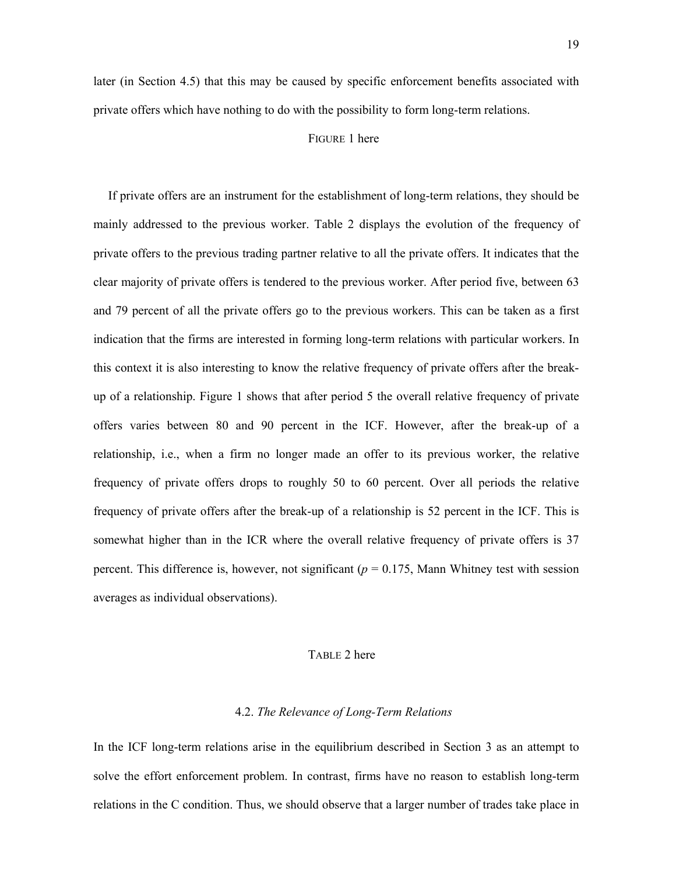later (in Section 4.5) that this may be caused by specific enforcement benefits associated with private offers which have nothing to do with the possibility to form long-term relations.

#### FIGURE 1 here

If private offers are an instrument for the establishment of long-term relations, they should be mainly addressed to the previous worker. Table 2 displays the evolution of the frequency of private offers to the previous trading partner relative to all the private offers. It indicates that the clear majority of private offers is tendered to the previous worker. After period five, between 63 and 79 percent of all the private offers go to the previous workers. This can be taken as a first indication that the firms are interested in forming long-term relations with particular workers. In this context it is also interesting to know the relative frequency of private offers after the breakup of a relationship. Figure 1 shows that after period 5 the overall relative frequency of private offers varies between 80 and 90 percent in the ICF. However, after the break-up of a relationship, i.e., when a firm no longer made an offer to its previous worker, the relative frequency of private offers drops to roughly 50 to 60 percent. Over all periods the relative frequency of private offers after the break-up of a relationship is 52 percent in the ICF. This is somewhat higher than in the ICR where the overall relative frequency of private offers is 37 percent. This difference is, however, not significant  $(p = 0.175)$ , Mann Whitney test with session averages as individual observations).

#### TABLE 2 here

#### 4.2. *The Relevance of Long-Term Relations*

In the ICF long-term relations arise in the equilibrium described in Section 3 as an attempt to solve the effort enforcement problem. In contrast, firms have no reason to establish long-term relations in the C condition. Thus, we should observe that a larger number of trades take place in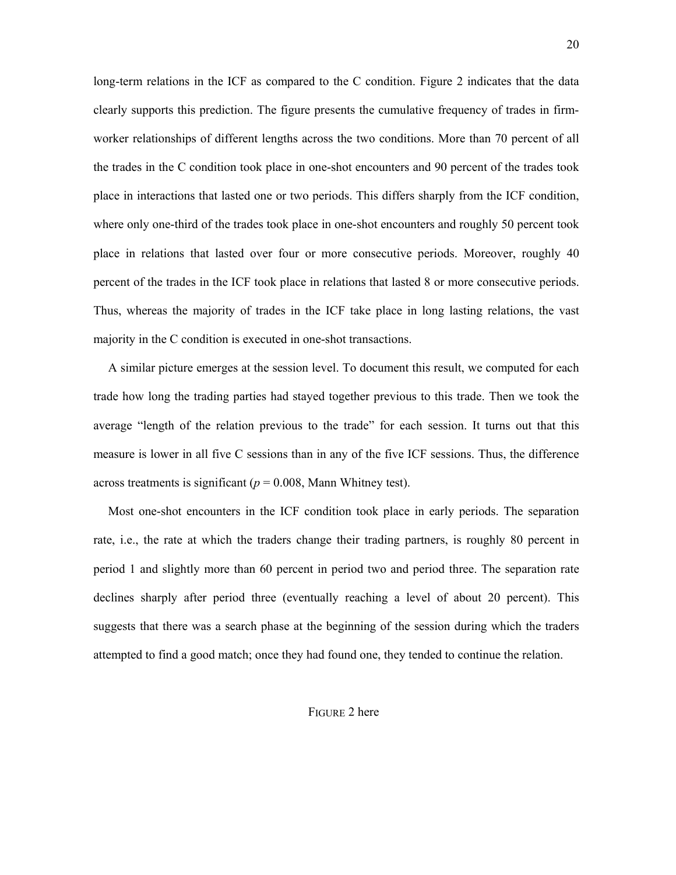long-term relations in the ICF as compared to the C condition. Figure 2 indicates that the data clearly supports this prediction. The figure presents the cumulative frequency of trades in firmworker relationships of different lengths across the two conditions. More than 70 percent of all the trades in the C condition took place in one-shot encounters and 90 percent of the trades took place in interactions that lasted one or two periods. This differs sharply from the ICF condition, where only one-third of the trades took place in one-shot encounters and roughly 50 percent took place in relations that lasted over four or more consecutive periods. Moreover, roughly 40 percent of the trades in the ICF took place in relations that lasted 8 or more consecutive periods. Thus, whereas the majority of trades in the ICF take place in long lasting relations, the vast majority in the C condition is executed in one-shot transactions.

A similar picture emerges at the session level. To document this result, we computed for each trade how long the trading parties had stayed together previous to this trade. Then we took the average "length of the relation previous to the trade" for each session. It turns out that this measure is lower in all five C sessions than in any of the five ICF sessions. Thus, the difference across treatments is significant ( $p = 0.008$ , Mann Whitney test).

Most one-shot encounters in the ICF condition took place in early periods. The separation rate, i.e., the rate at which the traders change their trading partners, is roughly 80 percent in period 1 and slightly more than 60 percent in period two and period three. The separation rate declines sharply after period three (eventually reaching a level of about 20 percent). This suggests that there was a search phase at the beginning of the session during which the traders attempted to find a good match; once they had found one, they tended to continue the relation.

#### FIGURE 2 here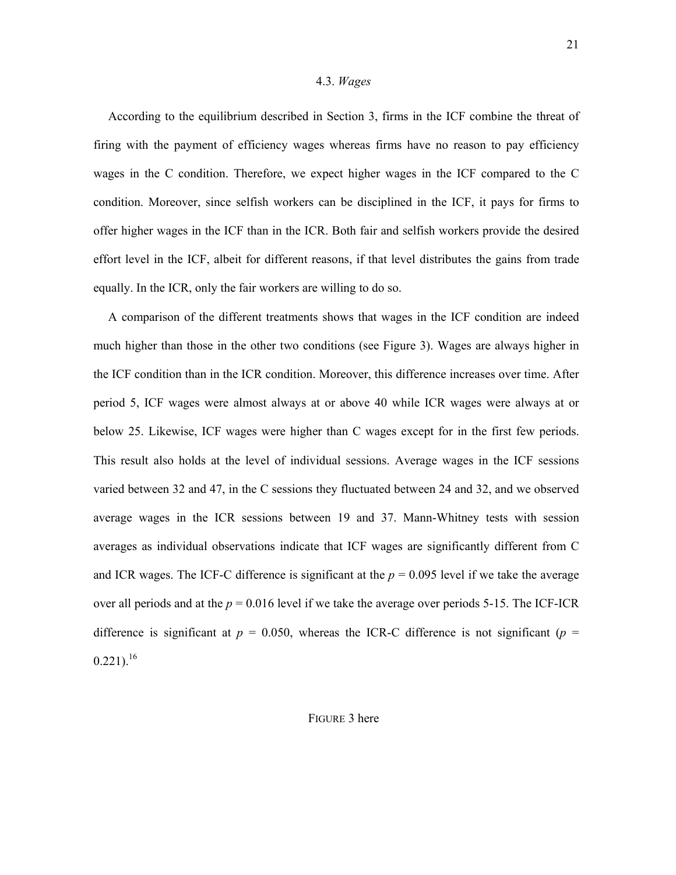#### 4.3. *Wages*

According to the equilibrium described in Section 3, firms in the ICF combine the threat of firing with the payment of efficiency wages whereas firms have no reason to pay efficiency wages in the C condition. Therefore, we expect higher wages in the ICF compared to the C condition. Moreover, since selfish workers can be disciplined in the ICF, it pays for firms to offer higher wages in the ICF than in the ICR. Both fair and selfish workers provide the desired effort level in the ICF, albeit for different reasons, if that level distributes the gains from trade equally. In the ICR, only the fair workers are willing to do so.

A comparison of the different treatments shows that wages in the ICF condition are indeed much higher than those in the other two conditions (see Figure 3). Wages are always higher in the ICF condition than in the ICR condition. Moreover, this difference increases over time. After period 5, ICF wages were almost always at or above 40 while ICR wages were always at or below 25. Likewise, ICF wages were higher than C wages except for in the first few periods. This result also holds at the level of individual sessions. Average wages in the ICF sessions varied between 32 and 47, in the C sessions they fluctuated between 24 and 32, and we observed average wages in the ICR sessions between 19 and 37. Mann-Whitney tests with session averages as individual observations indicate that ICF wages are significantly different from C and ICR wages. The ICF-C difference is significant at the  $p = 0.095$  level if we take the average over all periods and at the  $p = 0.016$  level if we take the average over periods 5-15. The ICF-ICR difference is significant at  $p = 0.050$ , whereas the ICR-C difference is not significant ( $p =$  $0.221$ ).<sup>16</sup>

#### FIGURE 3 here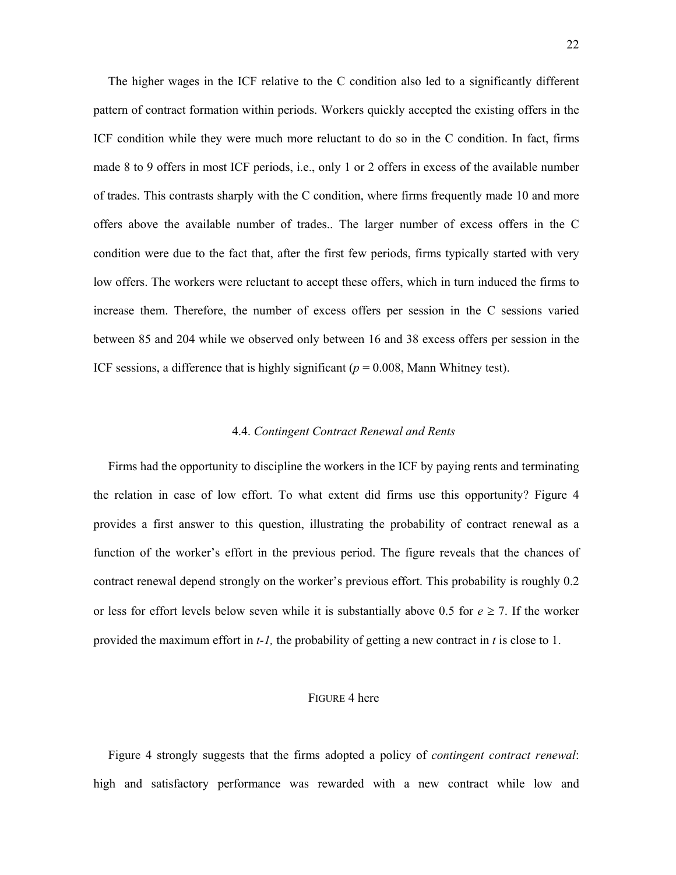The higher wages in the ICF relative to the C condition also led to a significantly different pattern of contract formation within periods. Workers quickly accepted the existing offers in the ICF condition while they were much more reluctant to do so in the C condition. In fact, firms made 8 to 9 offers in most ICF periods, i.e., only 1 or 2 offers in excess of the available number of trades. This contrasts sharply with the C condition, where firms frequently made 10 and more offers above the available number of trades.. The larger number of excess offers in the C condition were due to the fact that, after the first few periods, firms typically started with very low offers. The workers were reluctant to accept these offers, which in turn induced the firms to increase them. Therefore, the number of excess offers per session in the C sessions varied between 85 and 204 while we observed only between 16 and 38 excess offers per session in the ICF sessions, a difference that is highly significant ( $p = 0.008$ , Mann Whitney test).

#### 4.4. *Contingent Contract Renewal and Rents*

Firms had the opportunity to discipline the workers in the ICF by paying rents and terminating the relation in case of low effort. To what extent did firms use this opportunity? Figure 4 provides a first answer to this question, illustrating the probability of contract renewal as a function of the worker's effort in the previous period. The figure reveals that the chances of contract renewal depend strongly on the worker's previous effort. This probability is roughly 0.2 or less for effort levels below seven while it is substantially above 0.5 for  $e \ge 7$ . If the worker provided the maximum effort in *t-1,* the probability of getting a new contract in *t* is close to 1.

#### FIGURE 4 here

Figure 4 strongly suggests that the firms adopted a policy of *contingent contract renewal*: high and satisfactory performance was rewarded with a new contract while low and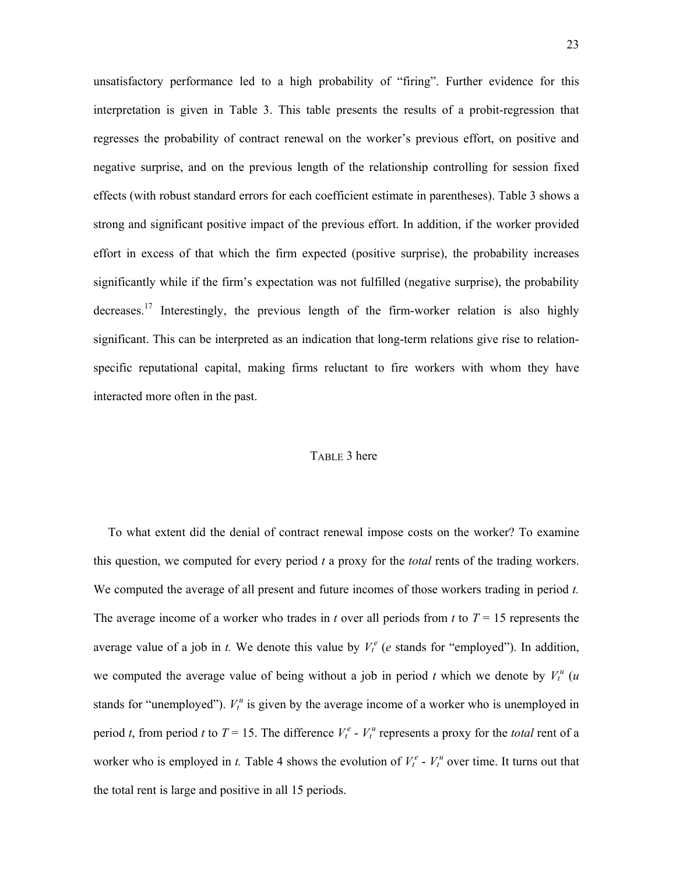unsatisfactory performance led to a high probability of "firing". Further evidence for this interpretation is given in Table 3. This table presents the results of a probit-regression that regresses the probability of contract renewal on the worker's previous effort, on positive and negative surprise, and on the previous length of the relationship controlling for session fixed effects (with robust standard errors for each coefficient estimate in parentheses). Table 3 shows a strong and significant positive impact of the previous effort. In addition, if the worker provided effort in excess of that which the firm expected (positive surprise), the probability increases significantly while if the firm's expectation was not fulfilled (negative surprise), the probability decreases.17 Interestingly, the previous length of the firm-worker relation is also highly significant. This can be interpreted as an indication that long-term relations give rise to relationspecific reputational capital, making firms reluctant to fire workers with whom they have interacted more often in the past.

#### TABLE 3 here

To what extent did the denial of contract renewal impose costs on the worker? To examine this question, we computed for every period *t* a proxy for the *total* rents of the trading workers. We computed the average of all present and future incomes of those workers trading in period *t.* The average income of a worker who trades in *t* over all periods from *t* to  $T = 15$  represents the average value of a job in *t*. We denote this value by  $V_t^e$  (*e* stands for "employed"). In addition, we computed the average value of being without a job in period t which we denote by  $V_t^u$  (u stands for "unemployed").  $V_t^u$  is given by the average income of a worker who is unemployed in period *t*, from period *t* to  $T = 15$ . The difference  $V_t^e$  -  $V_t^u$  represents a proxy for the *total* rent of a worker who is employed in *t*. Table 4 shows the evolution of  $V_t^e$  -  $V_t^u$  over time. It turns out that the total rent is large and positive in all 15 periods.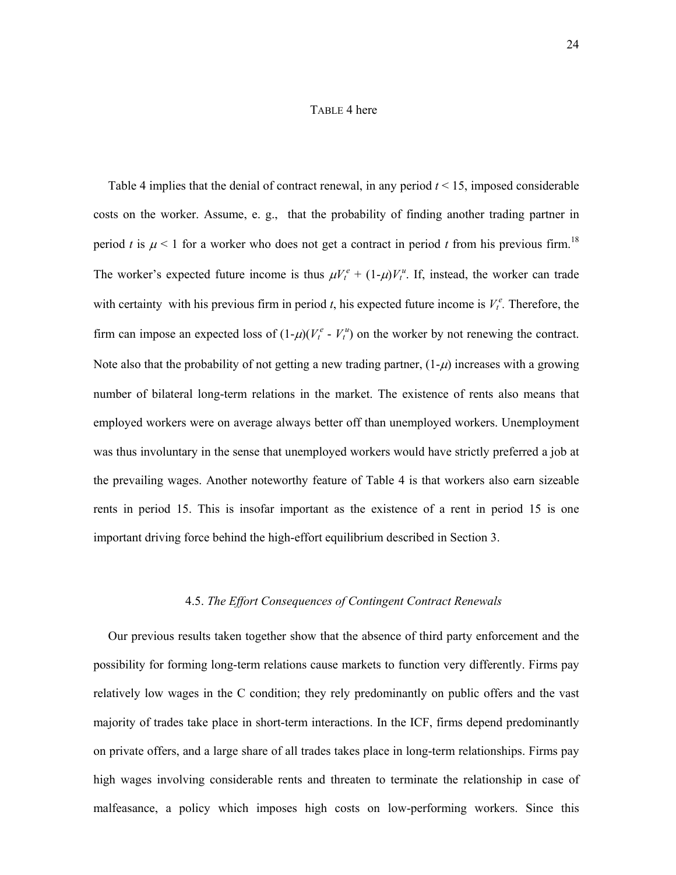#### TABLE 4 here

Table 4 implies that the denial of contract renewal, in any period *t* < 15, imposed considerable costs on the worker. Assume, e. g., that the probability of finding another trading partner in period *t* is  $\mu$  < 1 for a worker who does not get a contract in period *t* from his previous firm.<sup>18</sup> The worker's expected future income is thus  $\mu V_t^e + (1-\mu)V_t^u$ . If, instead, the worker can trade with certainty with his previous firm in period  $t$ , his expected future income is  $V_t^e$ . Therefore, the firm can impose an expected loss of  $(1-\mu)(V_t^e - V_t^u)$  on the worker by not renewing the contract. Note also that the probability of not getting a new trading partner,  $(1-\mu)$  increases with a growing number of bilateral long-term relations in the market. The existence of rents also means that employed workers were on average always better off than unemployed workers. Unemployment was thus involuntary in the sense that unemployed workers would have strictly preferred a job at the prevailing wages. Another noteworthy feature of Table 4 is that workers also earn sizeable rents in period 15. This is insofar important as the existence of a rent in period 15 is one important driving force behind the high-effort equilibrium described in Section 3.

#### 4.5. *The Effort Consequences of Contingent Contract Renewals*

Our previous results taken together show that the absence of third party enforcement and the possibility for forming long-term relations cause markets to function very differently. Firms pay relatively low wages in the C condition; they rely predominantly on public offers and the vast majority of trades take place in short-term interactions. In the ICF, firms depend predominantly on private offers, and a large share of all trades takes place in long-term relationships. Firms pay high wages involving considerable rents and threaten to terminate the relationship in case of malfeasance, a policy which imposes high costs on low-performing workers. Since this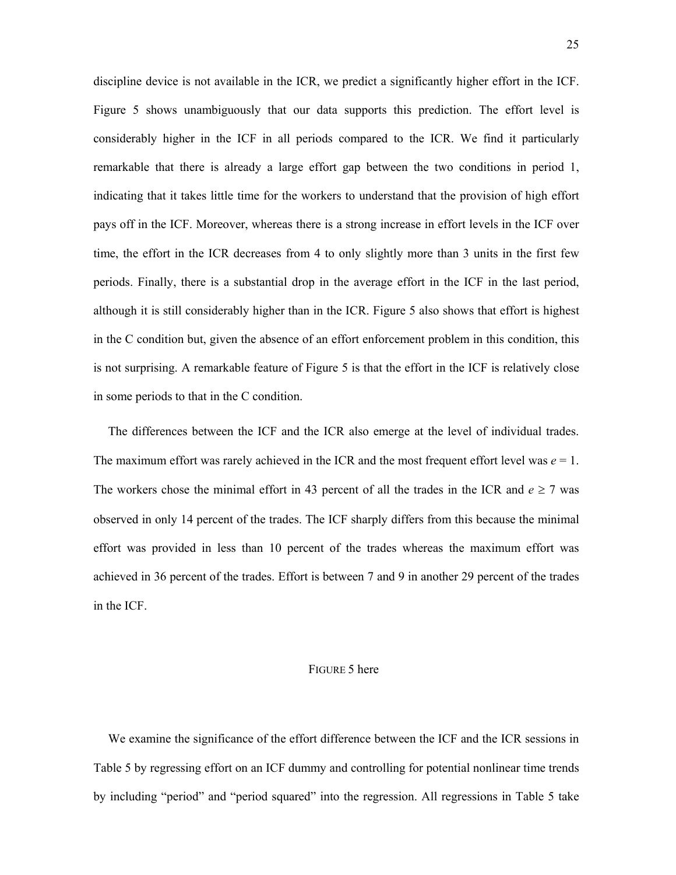discipline device is not available in the ICR, we predict a significantly higher effort in the ICF. Figure 5 shows unambiguously that our data supports this prediction. The effort level is considerably higher in the ICF in all periods compared to the ICR. We find it particularly remarkable that there is already a large effort gap between the two conditions in period 1, indicating that it takes little time for the workers to understand that the provision of high effort pays off in the ICF. Moreover, whereas there is a strong increase in effort levels in the ICF over time, the effort in the ICR decreases from 4 to only slightly more than 3 units in the first few periods. Finally, there is a substantial drop in the average effort in the ICF in the last period, although it is still considerably higher than in the ICR. Figure 5 also shows that effort is highest in the C condition but, given the absence of an effort enforcement problem in this condition, this is not surprising. A remarkable feature of Figure 5 is that the effort in the ICF is relatively close in some periods to that in the C condition.

The differences between the ICF and the ICR also emerge at the level of individual trades. The maximum effort was rarely achieved in the ICR and the most frequent effort level was *e* = 1. The workers chose the minimal effort in 43 percent of all the trades in the ICR and  $e \ge 7$  was observed in only 14 percent of the trades. The ICF sharply differs from this because the minimal effort was provided in less than 10 percent of the trades whereas the maximum effort was achieved in 36 percent of the trades. Effort is between 7 and 9 in another 29 percent of the trades in the ICF.

#### FIGURE 5 here

We examine the significance of the effort difference between the ICF and the ICR sessions in Table 5 by regressing effort on an ICF dummy and controlling for potential nonlinear time trends by including "period" and "period squared" into the regression. All regressions in Table 5 take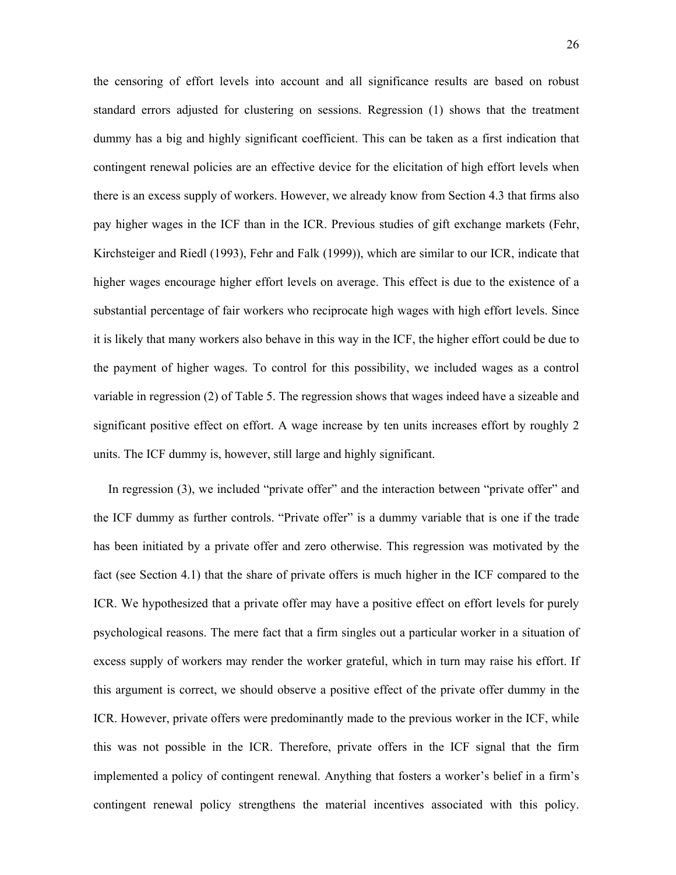the censoring of effort levels into account and all significance results are based on robust standard errors adjusted for clustering on sessions. Regression (1) shows that the treatment dummy has a big and highly significant coefficient. This can be taken as a first indication that contingent renewal policies are an effective device for the elicitation of high effort levels when there is an excess supply of workers. However, we already know from Section 4.3 that firms also pay higher wages in the ICF than in the ICR. Previous studies of gift exchange markets (Fehr, Kirchsteiger and Riedl (1993), Fehr and Falk (1999)), which are similar to our ICR, indicate that higher wages encourage higher effort levels on average. This effect is due to the existence of a substantial percentage of fair workers who reciprocate high wages with high effort levels. Since it is likely that many workers also behave in this way in the ICF, the higher effort could be due to the payment of higher wages. To control for this possibility, we included wages as a control variable in regression (2) of Table 5. The regression shows that wages indeed have a sizeable and significant positive effect on effort. A wage increase by ten units increases effort by roughly 2 units. The ICF dummy is, however, still large and highly significant.

In regression (3), we included "private offer" and the interaction between "private offer" and the ICF dummy as further controls. "Private offer" is a dummy variable that is one if the trade has been initiated by a private offer and zero otherwise. This regression was motivated by the fact (see Section 4.1) that the share of private offers is much higher in the ICF compared to the ICR. We hypothesized that a private offer may have a positive effect on effort levels for purely psychological reasons. The mere fact that a firm singles out a particular worker in a situation of excess supply of workers may render the worker grateful, which in turn may raise his effort. If this argument is correct, we should observe a positive effect of the private offer dummy in the ICR. However, private offers were predominantly made to the previous worker in the ICF, while this was not possible in the ICR. Therefore, private offers in the ICF signal that the firm implemented a policy of contingent renewal. Anything that fosters a worker's belief in a firm's contingent renewal policy strengthens the material incentives associated with this policy.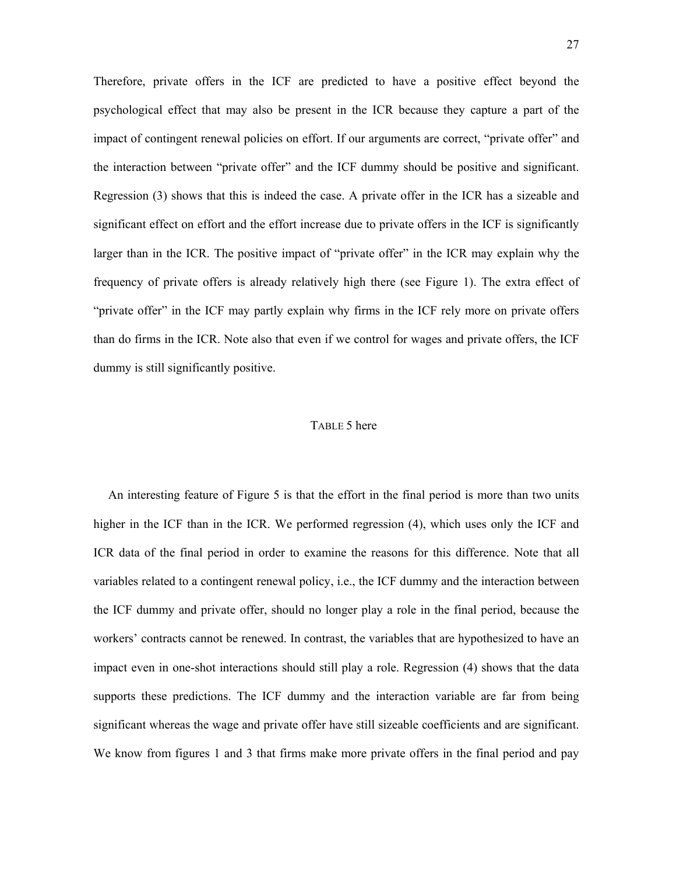Therefore, private offers in the ICF are predicted to have a positive effect beyond the psychological effect that may also be present in the ICR because they capture a part of the impact of contingent renewal policies on effort. If our arguments are correct, "private offer" and the interaction between "private offer" and the ICF dummy should be positive and significant. Regression (3) shows that this is indeed the case. A private offer in the ICR has a sizeable and significant effect on effort and the effort increase due to private offers in the ICF is significantly larger than in the ICR. The positive impact of "private offer" in the ICR may explain why the frequency of private offers is already relatively high there (see Figure 1). The extra effect of "private offer" in the ICF may partly explain why firms in the ICF rely more on private offers than do firms in the ICR. Note also that even if we control for wages and private offers, the ICF dummy is still significantly positive.

#### TABLE 5 here

An interesting feature of Figure 5 is that the effort in the final period is more than two units higher in the ICF than in the ICR. We performed regression (4), which uses only the ICF and ICR data of the final period in order to examine the reasons for this difference. Note that all variables related to a contingent renewal policy, i.e., the ICF dummy and the interaction between the ICF dummy and private offer, should no longer play a role in the final period, because the workers' contracts cannot be renewed. In contrast, the variables that are hypothesized to have an impact even in one-shot interactions should still play a role. Regression (4) shows that the data supports these predictions. The ICF dummy and the interaction variable are far from being significant whereas the wage and private offer have still sizeable coefficients and are significant. We know from figures 1 and 3 that firms make more private offers in the final period and pay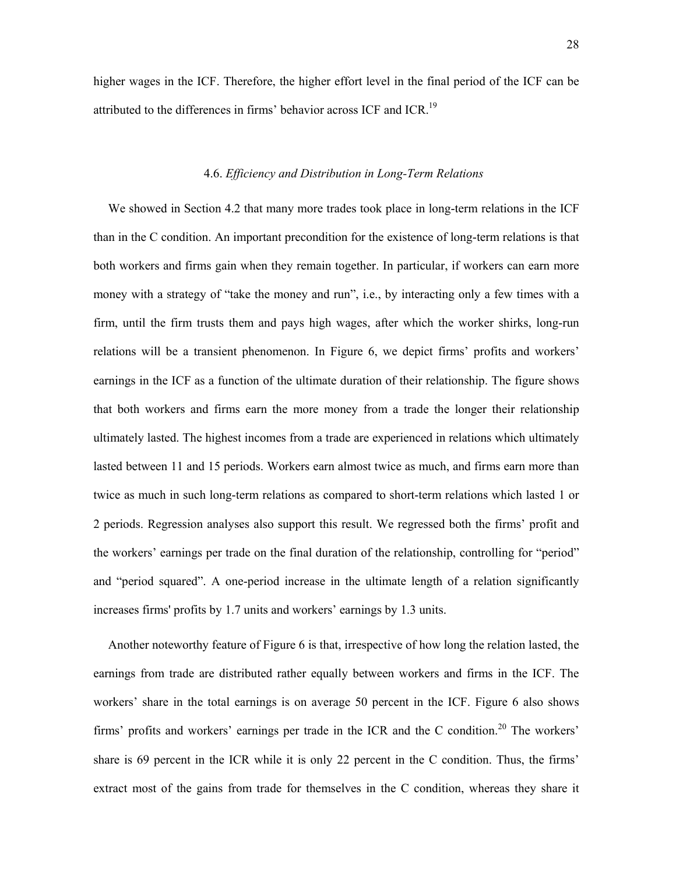higher wages in the ICF. Therefore, the higher effort level in the final period of the ICF can be attributed to the differences in firms' behavior across ICF and ICR.<sup>19</sup>

#### 4.6. *Efficiency and Distribution in Long-Term Relations*

We showed in Section 4.2 that many more trades took place in long-term relations in the ICF than in the C condition. An important precondition for the existence of long-term relations is that both workers and firms gain when they remain together. In particular, if workers can earn more money with a strategy of "take the money and run", i.e., by interacting only a few times with a firm, until the firm trusts them and pays high wages, after which the worker shirks, long-run relations will be a transient phenomenon. In Figure 6, we depict firms' profits and workers' earnings in the ICF as a function of the ultimate duration of their relationship. The figure shows that both workers and firms earn the more money from a trade the longer their relationship ultimately lasted. The highest incomes from a trade are experienced in relations which ultimately lasted between 11 and 15 periods. Workers earn almost twice as much, and firms earn more than twice as much in such long-term relations as compared to short-term relations which lasted 1 or 2 periods. Regression analyses also support this result. We regressed both the firms' profit and the workers' earnings per trade on the final duration of the relationship, controlling for "period" and "period squared". A one-period increase in the ultimate length of a relation significantly increases firms' profits by 1.7 units and workers' earnings by 1.3 units.

Another noteworthy feature of Figure 6 is that, irrespective of how long the relation lasted, the earnings from trade are distributed rather equally between workers and firms in the ICF. The workers' share in the total earnings is on average 50 percent in the ICF. Figure 6 also shows firms' profits and workers' earnings per trade in the ICR and the C condition.<sup>20</sup> The workers' share is 69 percent in the ICR while it is only 22 percent in the C condition. Thus, the firms' extract most of the gains from trade for themselves in the C condition, whereas they share it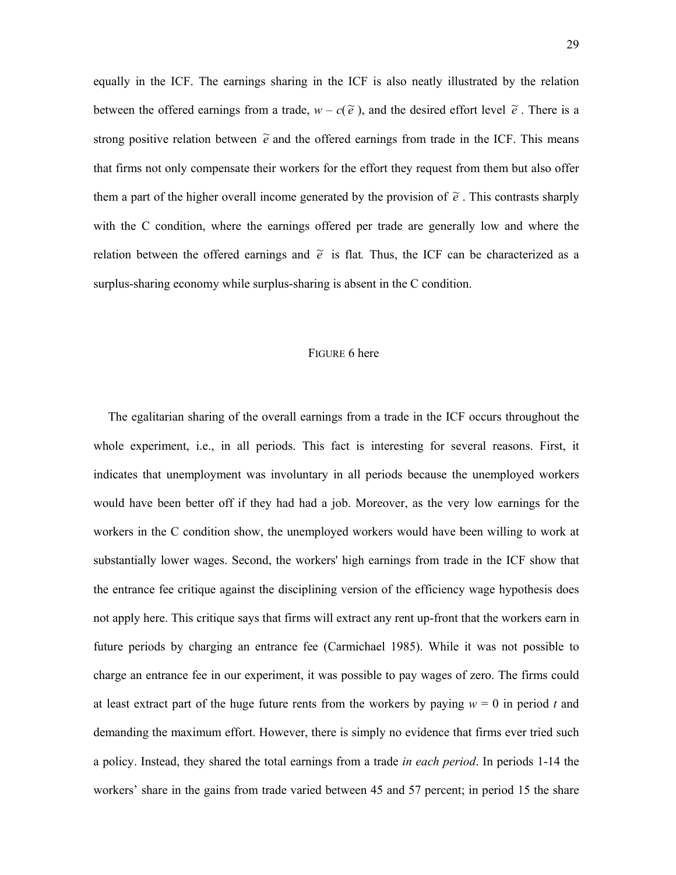equally in the ICF. The earnings sharing in the ICF is also neatly illustrated by the relation between the offered earnings from a trade,  $w - c(\tilde{e})$ , and the desired effort level  $\tilde{e}$ . There is a strong positive relation between  $\tilde{e}$  and the offered earnings from trade in the ICF. This means that firms not only compensate their workers for the effort they request from them but also offer them a part of the higher overall income generated by the provision of  $\tilde{e}$ . This contrasts sharply with the C condition, where the earnings offered per trade are generally low and where the relation between the offered earnings and  $\tilde{e}$  is flat. Thus, the ICF can be characterized as a surplus-sharing economy while surplus-sharing is absent in the C condition.

#### FIGURE 6 here

The egalitarian sharing of the overall earnings from a trade in the ICF occurs throughout the whole experiment, i.e., in all periods. This fact is interesting for several reasons. First, it indicates that unemployment was involuntary in all periods because the unemployed workers would have been better off if they had had a job. Moreover, as the very low earnings for the workers in the C condition show, the unemployed workers would have been willing to work at substantially lower wages. Second, the workers' high earnings from trade in the ICF show that the entrance fee critique against the disciplining version of the efficiency wage hypothesis does not apply here. This critique says that firms will extract any rent up-front that the workers earn in future periods by charging an entrance fee (Carmichael 1985). While it was not possible to charge an entrance fee in our experiment, it was possible to pay wages of zero. The firms could at least extract part of the huge future rents from the workers by paying  $w = 0$  in period t and demanding the maximum effort. However, there is simply no evidence that firms ever tried such a policy. Instead, they shared the total earnings from a trade *in each period*. In periods 1-14 the workers' share in the gains from trade varied between 45 and 57 percent; in period 15 the share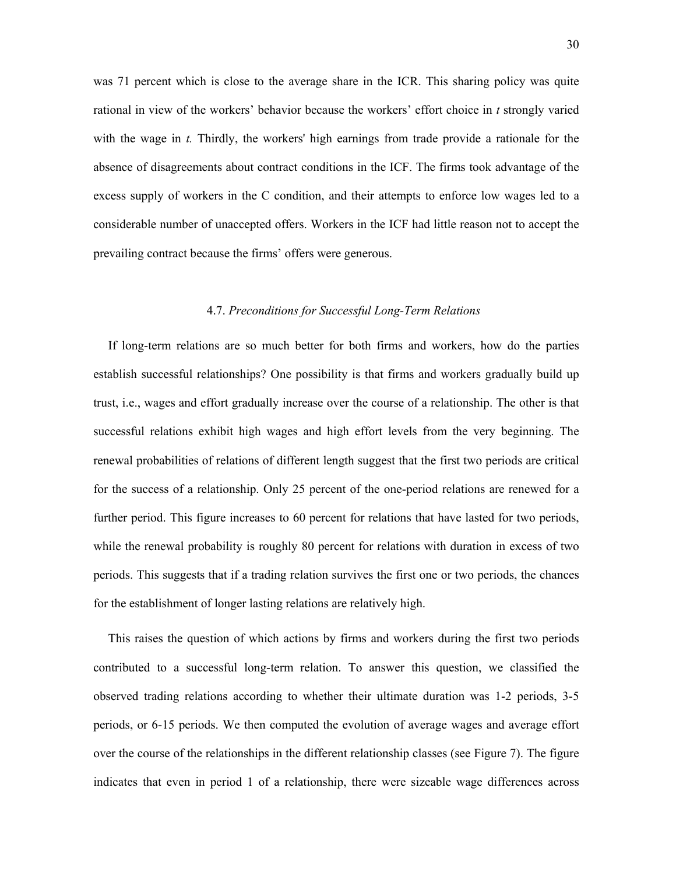was 71 percent which is close to the average share in the ICR. This sharing policy was quite rational in view of the workers' behavior because the workers' effort choice in *t* strongly varied with the wage in *t.* Thirdly, the workers' high earnings from trade provide a rationale for the absence of disagreements about contract conditions in the ICF. The firms took advantage of the excess supply of workers in the C condition, and their attempts to enforce low wages led to a considerable number of unaccepted offers. Workers in the ICF had little reason not to accept the prevailing contract because the firms' offers were generous.

#### 4.7. *Preconditions for Successful Long-Term Relations*

If long-term relations are so much better for both firms and workers, how do the parties establish successful relationships? One possibility is that firms and workers gradually build up trust, i.e., wages and effort gradually increase over the course of a relationship. The other is that successful relations exhibit high wages and high effort levels from the very beginning. The renewal probabilities of relations of different length suggest that the first two periods are critical for the success of a relationship. Only 25 percent of the one-period relations are renewed for a further period. This figure increases to 60 percent for relations that have lasted for two periods, while the renewal probability is roughly 80 percent for relations with duration in excess of two periods. This suggests that if a trading relation survives the first one or two periods, the chances for the establishment of longer lasting relations are relatively high.

This raises the question of which actions by firms and workers during the first two periods contributed to a successful long-term relation. To answer this question, we classified the observed trading relations according to whether their ultimate duration was 1-2 periods, 3-5 periods, or 6-15 periods. We then computed the evolution of average wages and average effort over the course of the relationships in the different relationship classes (see Figure 7). The figure indicates that even in period 1 of a relationship, there were sizeable wage differences across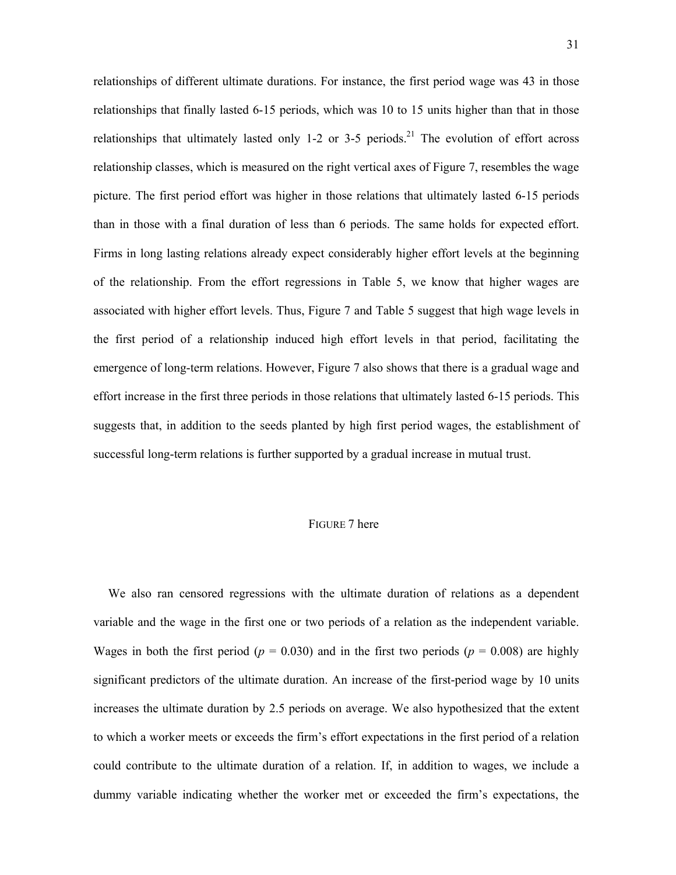relationships of different ultimate durations. For instance, the first period wage was 43 in those relationships that finally lasted 6-15 periods, which was 10 to 15 units higher than that in those relationships that ultimately lasted only 1-2 or 3-5 periods.<sup>21</sup> The evolution of effort across relationship classes, which is measured on the right vertical axes of Figure 7, resembles the wage picture. The first period effort was higher in those relations that ultimately lasted 6-15 periods than in those with a final duration of less than 6 periods. The same holds for expected effort. Firms in long lasting relations already expect considerably higher effort levels at the beginning of the relationship. From the effort regressions in Table 5, we know that higher wages are associated with higher effort levels. Thus, Figure 7 and Table 5 suggest that high wage levels in the first period of a relationship induced high effort levels in that period, facilitating the emergence of long-term relations. However, Figure 7 also shows that there is a gradual wage and effort increase in the first three periods in those relations that ultimately lasted 6-15 periods. This suggests that, in addition to the seeds planted by high first period wages, the establishment of successful long-term relations is further supported by a gradual increase in mutual trust.

#### FIGURE 7 here

We also ran censored regressions with the ultimate duration of relations as a dependent variable and the wage in the first one or two periods of a relation as the independent variable. Wages in both the first period ( $p = 0.030$ ) and in the first two periods ( $p = 0.008$ ) are highly significant predictors of the ultimate duration. An increase of the first-period wage by 10 units increases the ultimate duration by 2.5 periods on average. We also hypothesized that the extent to which a worker meets or exceeds the firm's effort expectations in the first period of a relation could contribute to the ultimate duration of a relation. If, in addition to wages, we include a dummy variable indicating whether the worker met or exceeded the firm's expectations, the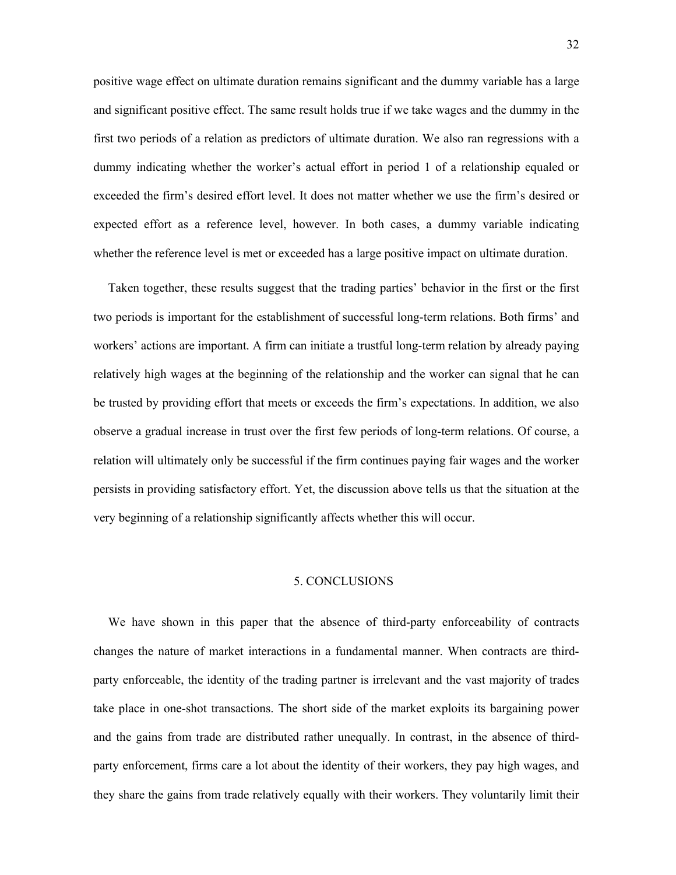positive wage effect on ultimate duration remains significant and the dummy variable has a large and significant positive effect. The same result holds true if we take wages and the dummy in the first two periods of a relation as predictors of ultimate duration. We also ran regressions with a dummy indicating whether the worker's actual effort in period 1 of a relationship equaled or exceeded the firm's desired effort level. It does not matter whether we use the firm's desired or expected effort as a reference level, however. In both cases, a dummy variable indicating whether the reference level is met or exceeded has a large positive impact on ultimate duration.

Taken together, these results suggest that the trading parties' behavior in the first or the first two periods is important for the establishment of successful long-term relations. Both firms' and workers' actions are important. A firm can initiate a trustful long-term relation by already paying relatively high wages at the beginning of the relationship and the worker can signal that he can be trusted by providing effort that meets or exceeds the firm's expectations. In addition, we also observe a gradual increase in trust over the first few periods of long-term relations. Of course, a relation will ultimately only be successful if the firm continues paying fair wages and the worker persists in providing satisfactory effort. Yet, the discussion above tells us that the situation at the very beginning of a relationship significantly affects whether this will occur.

#### 5. CONCLUSIONS

We have shown in this paper that the absence of third-party enforceability of contracts changes the nature of market interactions in a fundamental manner. When contracts are thirdparty enforceable, the identity of the trading partner is irrelevant and the vast majority of trades take place in one-shot transactions. The short side of the market exploits its bargaining power and the gains from trade are distributed rather unequally. In contrast, in the absence of thirdparty enforcement, firms care a lot about the identity of their workers, they pay high wages, and they share the gains from trade relatively equally with their workers. They voluntarily limit their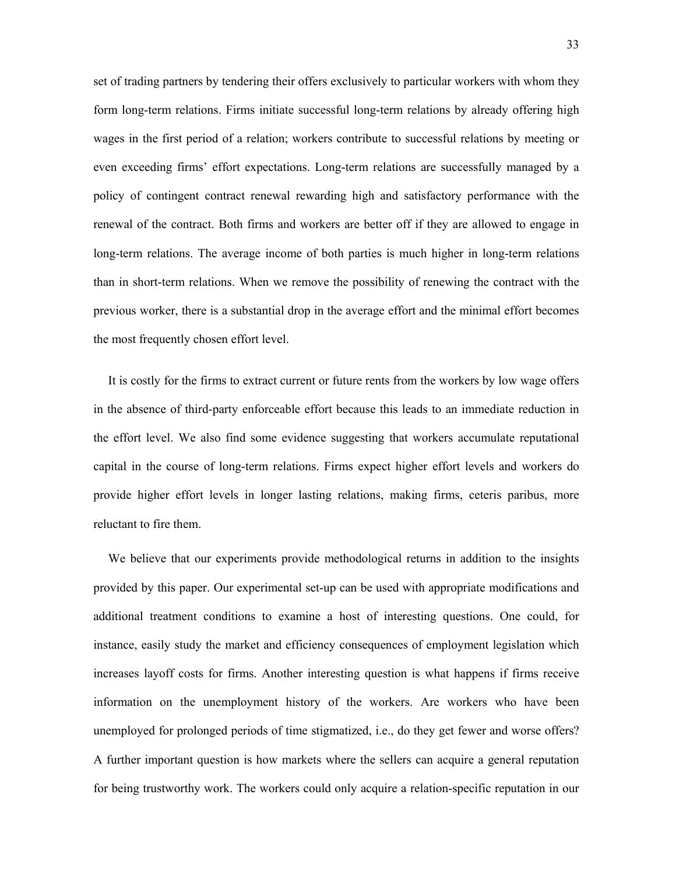set of trading partners by tendering their offers exclusively to particular workers with whom they form long-term relations. Firms initiate successful long-term relations by already offering high wages in the first period of a relation; workers contribute to successful relations by meeting or even exceeding firms' effort expectations. Long-term relations are successfully managed by a policy of contingent contract renewal rewarding high and satisfactory performance with the renewal of the contract. Both firms and workers are better off if they are allowed to engage in long-term relations. The average income of both parties is much higher in long-term relations than in short-term relations. When we remove the possibility of renewing the contract with the previous worker, there is a substantial drop in the average effort and the minimal effort becomes the most frequently chosen effort level.

It is costly for the firms to extract current or future rents from the workers by low wage offers in the absence of third-party enforceable effort because this leads to an immediate reduction in the effort level. We also find some evidence suggesting that workers accumulate reputational capital in the course of long-term relations. Firms expect higher effort levels and workers do provide higher effort levels in longer lasting relations, making firms, ceteris paribus, more reluctant to fire them.

We believe that our experiments provide methodological returns in addition to the insights provided by this paper. Our experimental set-up can be used with appropriate modifications and additional treatment conditions to examine a host of interesting questions. One could, for instance, easily study the market and efficiency consequences of employment legislation which increases layoff costs for firms. Another interesting question is what happens if firms receive information on the unemployment history of the workers. Are workers who have been unemployed for prolonged periods of time stigmatized, i.e., do they get fewer and worse offers? A further important question is how markets where the sellers can acquire a general reputation for being trustworthy work. The workers could only acquire a relation-specific reputation in our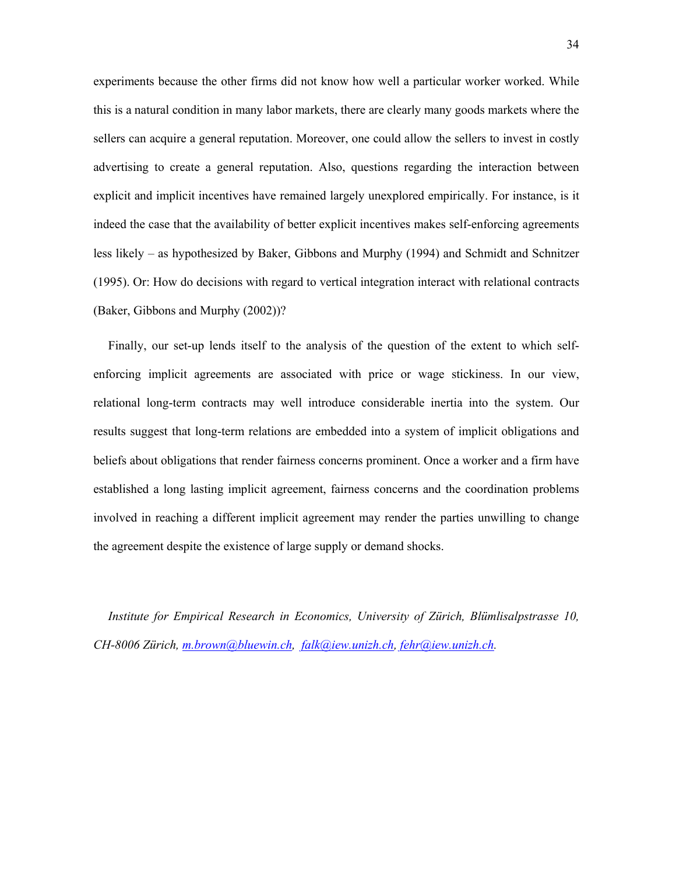experiments because the other firms did not know how well a particular worker worked. While this is a natural condition in many labor markets, there are clearly many goods markets where the sellers can acquire a general reputation. Moreover, one could allow the sellers to invest in costly advertising to create a general reputation. Also, questions regarding the interaction between explicit and implicit incentives have remained largely unexplored empirically. For instance, is it indeed the case that the availability of better explicit incentives makes self-enforcing agreements less likely – as hypothesized by Baker, Gibbons and Murphy (1994) and Schmidt and Schnitzer (1995). Or: How do decisions with regard to vertical integration interact with relational contracts (Baker, Gibbons and Murphy (2002))?

Finally, our set-up lends itself to the analysis of the question of the extent to which selfenforcing implicit agreements are associated with price or wage stickiness. In our view, relational long-term contracts may well introduce considerable inertia into the system. Our results suggest that long-term relations are embedded into a system of implicit obligations and beliefs about obligations that render fairness concerns prominent. Once a worker and a firm have established a long lasting implicit agreement, fairness concerns and the coordination problems involved in reaching a different implicit agreement may render the parties unwilling to change the agreement despite the existence of large supply or demand shocks.

*Institute for Empirical Research in Economics, University of Zürich, Blümlisalpstrasse 10, CH-8006 Zürich, m.brown@bluewin.ch, falk@iew.unizh.ch, fehr@iew.unizh.ch.*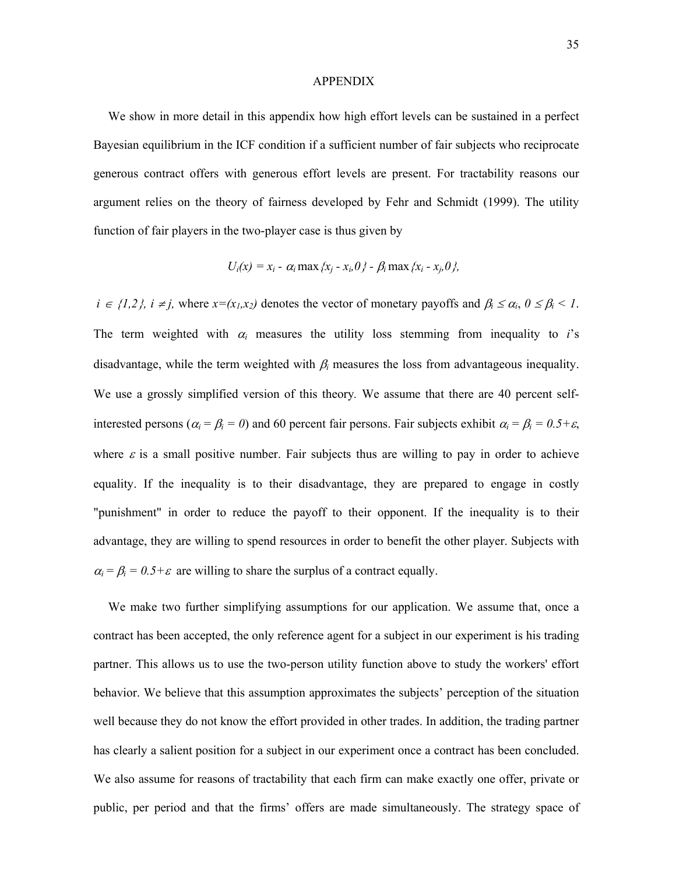#### APPENDIX

We show in more detail in this appendix how high effort levels can be sustained in a perfect Bayesian equilibrium in the ICF condition if a sufficient number of fair subjects who reciprocate generous contract offers with generous effort levels are present. For tractability reasons our argument relies on the theory of fairness developed by Fehr and Schmidt (1999). The utility function of fair players in the two-player case is thus given by

$$
U_i(x) = x_i - \alpha_i \max\{x_j - x_i, 0\} - \beta_i \max\{x_i - x_j, 0\},
$$

 $i \in \{1,2\}$ *,*  $i \neq j$ *,* where  $x=(x_1,x_2)$  denotes the vector of monetary payoffs and  $\beta_i \leq \alpha_i$ ,  $0 \leq \beta_i \leq 1$ . The term weighted with  $\alpha_i$  measures the utility loss stemming from inequality to *i*'s disadvantage, while the term weighted with  $\beta_i$  measures the loss from advantageous inequality. We use a grossly simplified version of this theory*.* We assume that there are 40 percent selfinterested persons ( $\alpha_i = \beta_i = 0$ ) and 60 percent fair persons. Fair subjects exhibit  $\alpha_i = \beta_i = 0.5 + \varepsilon$ , where  $\varepsilon$  is a small positive number. Fair subjects thus are willing to pay in order to achieve equality. If the inequality is to their disadvantage, they are prepared to engage in costly "punishment" in order to reduce the payoff to their opponent. If the inequality is to their advantage, they are willing to spend resources in order to benefit the other player. Subjects with  $\alpha_i = \beta_i = 0.5 + \varepsilon$  are willing to share the surplus of a contract equally.

We make two further simplifying assumptions for our application. We assume that, once a contract has been accepted, the only reference agent for a subject in our experiment is his trading partner. This allows us to use the two-person utility function above to study the workers' effort behavior. We believe that this assumption approximates the subjects' perception of the situation well because they do not know the effort provided in other trades. In addition, the trading partner has clearly a salient position for a subject in our experiment once a contract has been concluded. We also assume for reasons of tractability that each firm can make exactly one offer, private or public, per period and that the firms' offers are made simultaneously. The strategy space of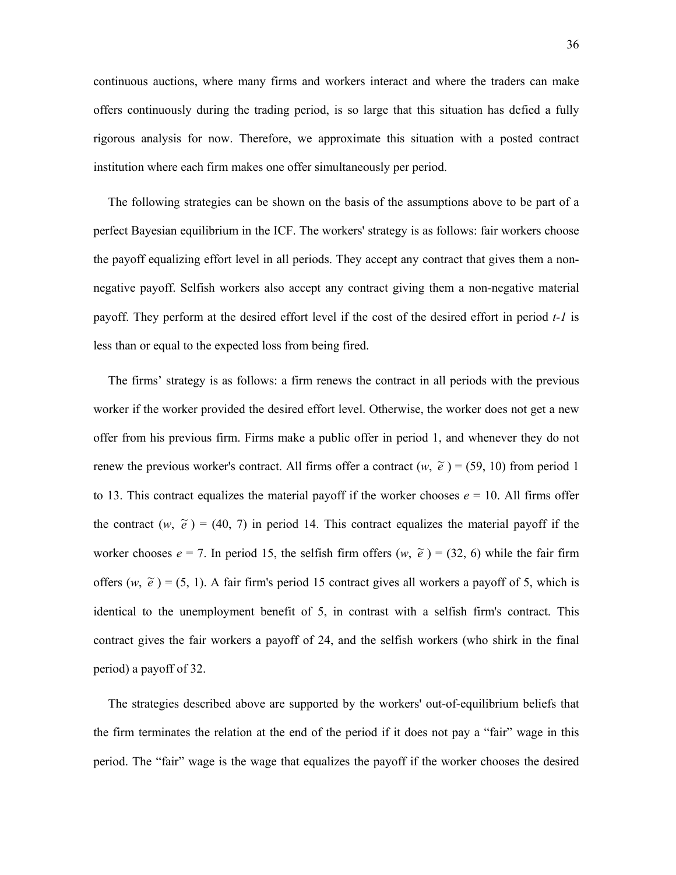continuous auctions, where many firms and workers interact and where the traders can make offers continuously during the trading period, is so large that this situation has defied a fully rigorous analysis for now. Therefore, we approximate this situation with a posted contract institution where each firm makes one offer simultaneously per period.

The following strategies can be shown on the basis of the assumptions above to be part of a perfect Bayesian equilibrium in the ICF. The workers' strategy is as follows: fair workers choose the payoff equalizing effort level in all periods. They accept any contract that gives them a nonnegative payoff. Selfish workers also accept any contract giving them a non-negative material payoff. They perform at the desired effort level if the cost of the desired effort in period *t-1* is less than or equal to the expected loss from being fired.

The firms' strategy is as follows: a firm renews the contract in all periods with the previous worker if the worker provided the desired effort level. Otherwise, the worker does not get a new offer from his previous firm. Firms make a public offer in period 1, and whenever they do not renew the previous worker's contract. All firms offer a contract  $(w, \tilde{e}) = (59, 10)$  from period 1 to 13. This contract equalizes the material payoff if the worker chooses  $e = 10$ . All firms offer the contract  $(w, \tilde{e}) = (40, 7)$  in period 14. This contract equalizes the material payoff if the worker chooses  $e = 7$ . In period 15, the selfish firm offers  $(w, \tilde{e}) = (32, 6)$  while the fair firm offers  $(w, \tilde{e}) = (5, 1)$ . A fair firm's period 15 contract gives all workers a payoff of 5, which is identical to the unemployment benefit of 5, in contrast with a selfish firm's contract. This contract gives the fair workers a payoff of 24, and the selfish workers (who shirk in the final period) a payoff of 32.

The strategies described above are supported by the workers' out-of-equilibrium beliefs that the firm terminates the relation at the end of the period if it does not pay a "fair" wage in this period. The "fair" wage is the wage that equalizes the payoff if the worker chooses the desired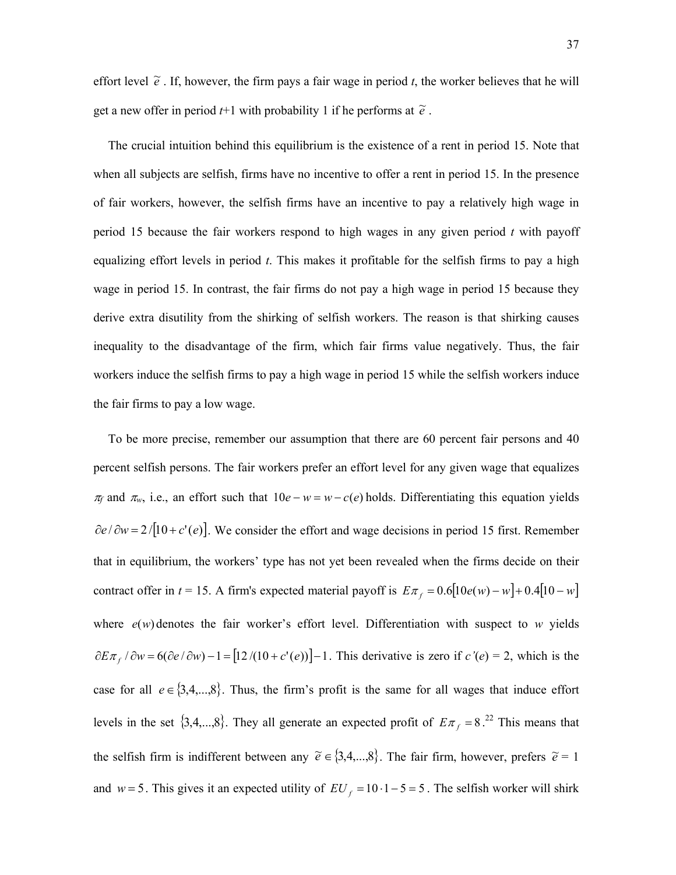effort level  $\tilde{e}$ . If, however, the firm pays a fair wage in period *t*, the worker believes that he will get a new offer in period  $t+1$  with probability 1 if he performs at  $\tilde{e}$ .

The crucial intuition behind this equilibrium is the existence of a rent in period 15. Note that when all subjects are selfish, firms have no incentive to offer a rent in period 15. In the presence of fair workers, however, the selfish firms have an incentive to pay a relatively high wage in period 15 because the fair workers respond to high wages in any given period *t* with payoff equalizing effort levels in period *t*. This makes it profitable for the selfish firms to pay a high wage in period 15. In contrast, the fair firms do not pay a high wage in period 15 because they derive extra disutility from the shirking of selfish workers. The reason is that shirking causes inequality to the disadvantage of the firm, which fair firms value negatively. Thus, the fair workers induce the selfish firms to pay a high wage in period 15 while the selfish workers induce the fair firms to pay a low wage.

To be more precise, remember our assumption that there are 60 percent fair persons and 40 percent selfish persons. The fair workers prefer an effort level for any given wage that equalizes  $\pi_f$  and  $\pi_w$ , i.e., an effort such that  $10e - w = w - c(e)$  holds. Differentiating this equation yields *∂e* / ∂*w* = 2 /[10 + *c*'(*e*)]. We consider the effort and wage decisions in period 15 first. Remember that in equilibrium, the workers' type has not yet been revealed when the firms decide on their contract offer in *t* = 15. A firm's expected material payoff is  $E\pi_f = 0.6[10e(w) - w] + 0.4[10 - w]$ where  $e(w)$  denotes the fair worker's effort level. Differentiation with suspect to *w* yields  $\partial E \pi_f / \partial w = 6(\partial e / \partial w) - 1 = [12/(10 + c'(e))] - 1$ . This derivative is zero if  $c'(e) = 2$ , which is the case for all  $e \in \{3,4,...,8\}$ . Thus, the firm's profit is the same for all wages that induce effort levels in the set  $\{3, 4, \ldots, 8\}$ . They all generate an expected profit of  $E\pi_f = 8$ .<sup>22</sup> This means that the selfish firm is indifferent between any  $\tilde{e} \in \{3,4,...,8\}$ . The fair firm, however, prefers  $\tilde{e} = 1$ and *w* = 5. This gives it an expected utility of  $EU_f = 10 \cdot 1 - 5 = 5$ . The selfish worker will shirk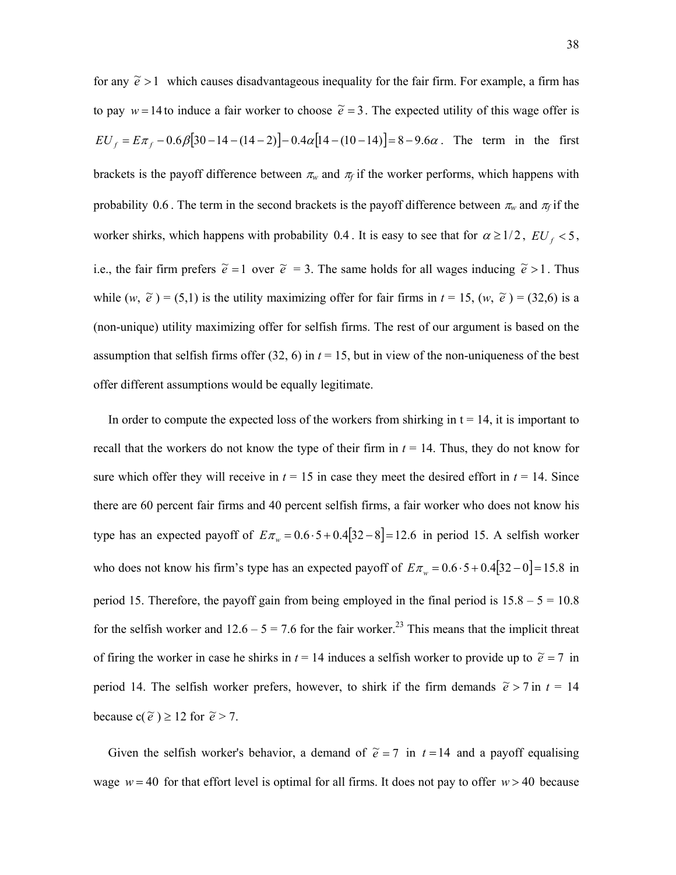for any  $\tilde{e} > 1$  which causes disadvantageous inequality for the fair firm. For example, a firm has to pay  $w = 14$  to induce a fair worker to choose  $\tilde{e} = 3$ . The expected utility of this wage offer is  $EU_f = E\pi_f - 0.6\beta[30 - 14 - (14 - 2)] - 0.4\alpha[14 - (10 - 14)] = 8 - 9.6\alpha$ . The term in the first brackets is the payoff difference between  $\pi_w$  and  $\pi_f$  if the worker performs, which happens with probability 0.6. The term in the second brackets is the payoff difference between  $\pi_w$  and  $\pi_f$  if the worker shirks, which happens with probability 0.4. It is easy to see that for  $\alpha \geq 1/2$ ,  $EU_f < 5$ , i.e., the fair firm prefers  $\tilde{e} = 1$  over  $\tilde{e} = 3$ . The same holds for all wages inducing  $\tilde{e} > 1$ . Thus while  $(w, \tilde{e}) = (5,1)$  is the utility maximizing offer for fair firms in  $t = 15$ ,  $(w, \tilde{e}) = (32,6)$  is a (non-unique) utility maximizing offer for selfish firms. The rest of our argument is based on the assumption that selfish firms offer  $(32, 6)$  in  $t = 15$ , but in view of the non-uniqueness of the best offer different assumptions would be equally legitimate.

In order to compute the expected loss of the workers from shirking in  $t = 14$ , it is important to recall that the workers do not know the type of their firm in *t* = 14. Thus, they do not know for sure which offer they will receive in  $t = 15$  in case they meet the desired effort in  $t = 14$ . Since there are 60 percent fair firms and 40 percent selfish firms, a fair worker who does not know his type has an expected payoff of  $E\pi_w = 0.6 \cdot 5 + 0.4[32 - 8] = 12.6$  in period 15. A selfish worker who does not know his firm's type has an expected payoff of  $E\pi_w = 0.6 \cdot 5 + 0.4[32 - 0] = 15.8$  in period 15. Therefore, the payoff gain from being employed in the final period is  $15.8 - 5 = 10.8$ for the selfish worker and  $12.6 - 5 = 7.6$  for the fair worker.<sup>23</sup> This means that the implicit threat of firing the worker in case he shirks in  $t = 14$  induces a selfish worker to provide up to  $\tilde{e} = 7$  in period 14. The selfish worker prefers, however, to shirk if the firm demands  $\tilde{e} > 7$  in  $t = 14$ because  $c(\tilde{e}) \ge 12$  for  $\tilde{e} > 7$ .

Given the selfish worker's behavior, a demand of  $\tilde{e} = 7$  in  $t = 14$  and a payoff equalising wage  $w = 40$  for that effort level is optimal for all firms. It does not pay to offer  $w > 40$  because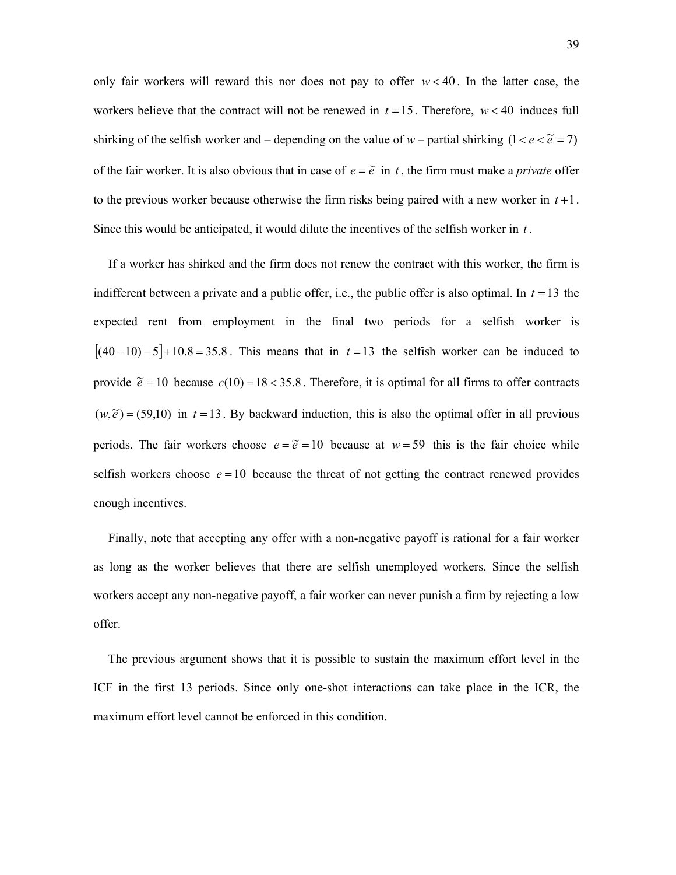only fair workers will reward this nor does not pay to offer  $w < 40$ . In the latter case, the workers believe that the contract will not be renewed in  $t = 15$ . Therefore,  $w < 40$  induces full shirking of the selfish worker and – depending on the value of *w* – partial shirking  $(1 < e < \tilde{e} = 7)$ of the fair worker. It is also obvious that in case of  $e = \tilde{e}$  in *t*, the firm must make a *private* offer to the previous worker because otherwise the firm risks being paired with a new worker in *t* +1. Since this would be anticipated, it would dilute the incentives of the selfish worker in *t* .

If a worker has shirked and the firm does not renew the contract with this worker, the firm is indifferent between a private and a public offer, i.e., the public offer is also optimal. In  $t = 13$  the expected rent from employment in the final two periods for a selfish worker is  $[(40-10)-5]+10.8=35.8$ . This means that in  $t=13$  the selfish worker can be induced to provide  $\tilde{e} = 10$  because  $c(10) = 18 < 35.8$ . Therefore, it is optimal for all firms to offer contracts  $(w, \tilde{e}) = (59,10)$  in  $t = 13$ . By backward induction, this is also the optimal offer in all previous periods. The fair workers choose  $e = \tilde{e} = 10$  because at  $w = 59$  this is the fair choice while selfish workers choose  $e = 10$  because the threat of not getting the contract renewed provides enough incentives.

Finally, note that accepting any offer with a non-negative payoff is rational for a fair worker as long as the worker believes that there are selfish unemployed workers. Since the selfish workers accept any non-negative payoff, a fair worker can never punish a firm by rejecting a low offer.

The previous argument shows that it is possible to sustain the maximum effort level in the ICF in the first 13 periods. Since only one-shot interactions can take place in the ICR, the maximum effort level cannot be enforced in this condition.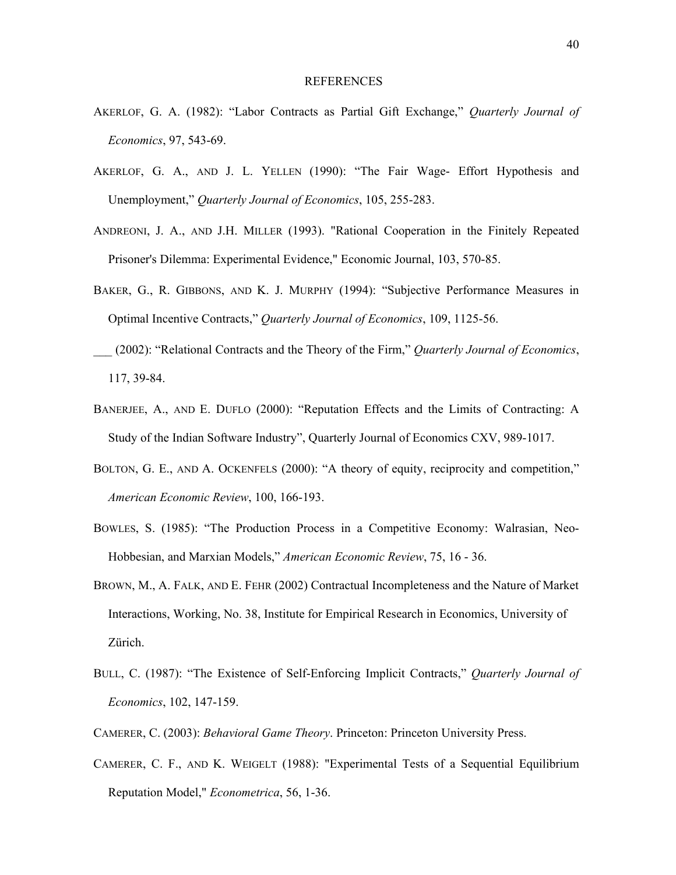#### REFERENCES

- AKERLOF, G. A. (1982): "Labor Contracts as Partial Gift Exchange," *Quarterly Journal of Economics*, 97, 543-69.
- AKERLOF, G. A., AND J. L. YELLEN (1990): "The Fair Wage- Effort Hypothesis and Unemployment," *Quarterly Journal of Economics*, 105, 255-283.
- ANDREONI, J. A., AND J.H. MILLER (1993). "Rational Cooperation in the Finitely Repeated Prisoner's Dilemma: Experimental Evidence," Economic Journal, 103, 570-85.
- BAKER, G., R. GIBBONS, AND K. J. MURPHY (1994): "Subjective Performance Measures in Optimal Incentive Contracts," *Quarterly Journal of Economics*, 109, 1125-56.
- \_\_\_ (2002): "Relational Contracts and the Theory of the Firm," *Quarterly Journal of Economics*, 117, 39-84.
- BANERJEE, A., AND E. DUFLO (2000): "Reputation Effects and the Limits of Contracting: A Study of the Indian Software Industry", Quarterly Journal of Economics CXV, 989-1017.
- BOLTON, G. E., AND A. OCKENFELS (2000): "A theory of equity, reciprocity and competition," *American Economic Review*, 100, 166-193.
- BOWLES, S. (1985): "The Production Process in a Competitive Economy: Walrasian, Neo-Hobbesian, and Marxian Models," *American Economic Review*, 75, 16 - 36.
- BROWN, M., A. FALK, AND E. FEHR (2002) Contractual Incompleteness and the Nature of Market Interactions, Working, No. 38, Institute for Empirical Research in Economics, University of Zürich.
- BULL, C. (1987): "The Existence of Self-Enforcing Implicit Contracts," *Quarterly Journal of Economics*, 102, 147-159.
- CAMERER, C. (2003): *Behavioral Game Theory*. Princeton: Princeton University Press.
- CAMERER, C. F., AND K. WEIGELT (1988): "Experimental Tests of a Sequential Equilibrium Reputation Model," *Econometrica*, 56, 1-36.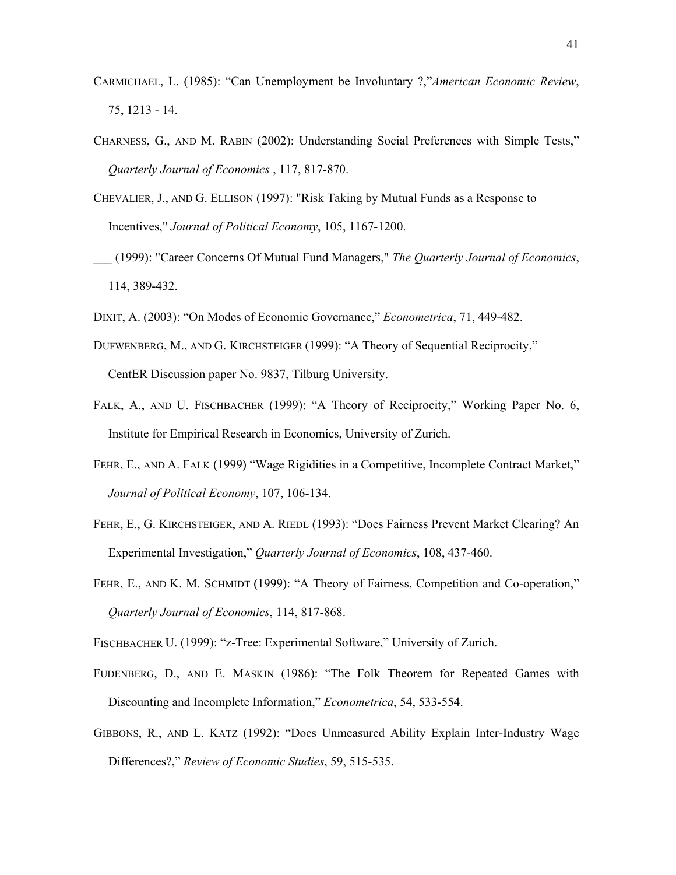- CARMICHAEL, L. (1985): "Can Unemployment be Involuntary ?,"*American Economic Review*, 75, 1213 - 14.
- CHARNESS, G., AND M. RABIN (2002): Understanding Social Preferences with Simple Tests," *Quarterly Journal of Economics* , 117, 817-870.
- CHEVALIER, J., AND G. ELLISON (1997): "Risk Taking by Mutual Funds as a Response to Incentives," *Journal of Political Economy*, 105, 1167-1200.
- \_\_\_ (1999): "Career Concerns Of Mutual Fund Managers," *The Quarterly Journal of Economics*, 114, 389-432.
- DIXIT, A. (2003): "On Modes of Economic Governance," *Econometrica*, 71, 449-482.
- DUFWENBERG, M., AND G. KIRCHSTEIGER (1999): "A Theory of Sequential Reciprocity," CentER Discussion paper No. 9837, Tilburg University.
- FALK, A., AND U. FISCHBACHER (1999): "A Theory of Reciprocity," Working Paper No. 6, Institute for Empirical Research in Economics, University of Zurich.
- FEHR, E., AND A. FALK (1999) "Wage Rigidities in a Competitive, Incomplete Contract Market," *Journal of Political Economy*, 107, 106-134.
- FEHR, E., G. KIRCHSTEIGER, AND A. RIEDL (1993): "Does Fairness Prevent Market Clearing? An Experimental Investigation," *Quarterly Journal of Economics*, 108, 437-460.
- FEHR, E., AND K. M. SCHMIDT (1999): "A Theory of Fairness, Competition and Co-operation," *Quarterly Journal of Economics*, 114, 817-868.
- FISCHBACHER U. (1999): "z-Tree: Experimental Software," University of Zurich.
- FUDENBERG, D., AND E. MASKIN (1986): "The Folk Theorem for Repeated Games with Discounting and Incomplete Information," *Econometrica*, 54, 533-554.
- GIBBONS, R., AND L. KATZ (1992): "Does Unmeasured Ability Explain Inter-Industry Wage Differences?," *Review of Economic Studies*, 59, 515-535.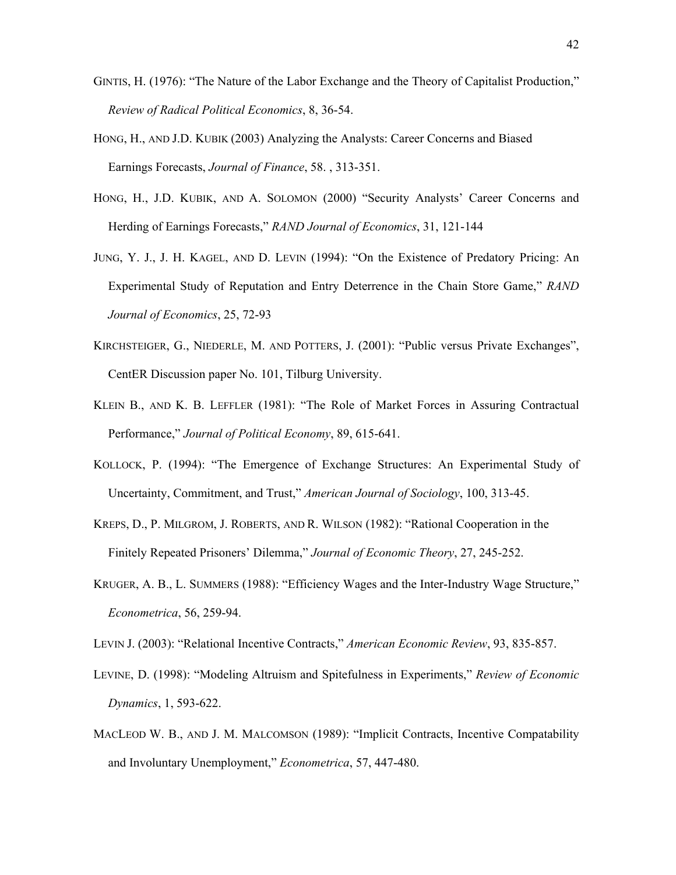- GINTIS, H. (1976): "The Nature of the Labor Exchange and the Theory of Capitalist Production," *Review of Radical Political Economics*, 8, 36-54.
- HONG, H., AND J.D. KUBIK (2003) Analyzing the Analysts: Career Concerns and Biased Earnings Forecasts, *Journal of Finance*, 58. , 313-351.
- HONG, H., J.D. KUBIK, AND A. SOLOMON (2000) "Security Analysts' Career Concerns and Herding of Earnings Forecasts," *RAND Journal of Economics*, 31, 121-144
- JUNG, Y. J., J. H. KAGEL, AND D. LEVIN (1994): "On the Existence of Predatory Pricing: An Experimental Study of Reputation and Entry Deterrence in the Chain Store Game," *RAND Journal of Economics*, 25, 72-93
- KIRCHSTEIGER, G., NIEDERLE, M. AND POTTERS, J. (2001): "Public versus Private Exchanges", CentER Discussion paper No. 101, Tilburg University.
- KLEIN B., AND K. B. LEFFLER (1981): "The Role of Market Forces in Assuring Contractual Performance," *Journal of Political Economy*, 89, 615-641.
- KOLLOCK, P. (1994): "The Emergence of Exchange Structures: An Experimental Study of Uncertainty, Commitment, and Trust," *American Journal of Sociology*, 100, 313-45.
- KREPS, D., P. MILGROM, J. ROBERTS, AND R. WILSON (1982): "Rational Cooperation in the Finitely Repeated Prisoners' Dilemma," *Journal of Economic Theory*, 27, 245-252.
- KRUGER, A. B., L. SUMMERS (1988): "Efficiency Wages and the Inter-Industry Wage Structure," *Econometrica*, 56, 259-94.
- LEVIN J. (2003): "Relational Incentive Contracts," *American Economic Review*, 93, 835-857.
- LEVINE, D. (1998): "Modeling Altruism and Spitefulness in Experiments," *Review of Economic Dynamics*, 1, 593-622.
- MACLEOD W. B., AND J. M. MALCOMSON (1989): "Implicit Contracts, Incentive Compatability and Involuntary Unemployment," *Econometrica*, 57, 447-480.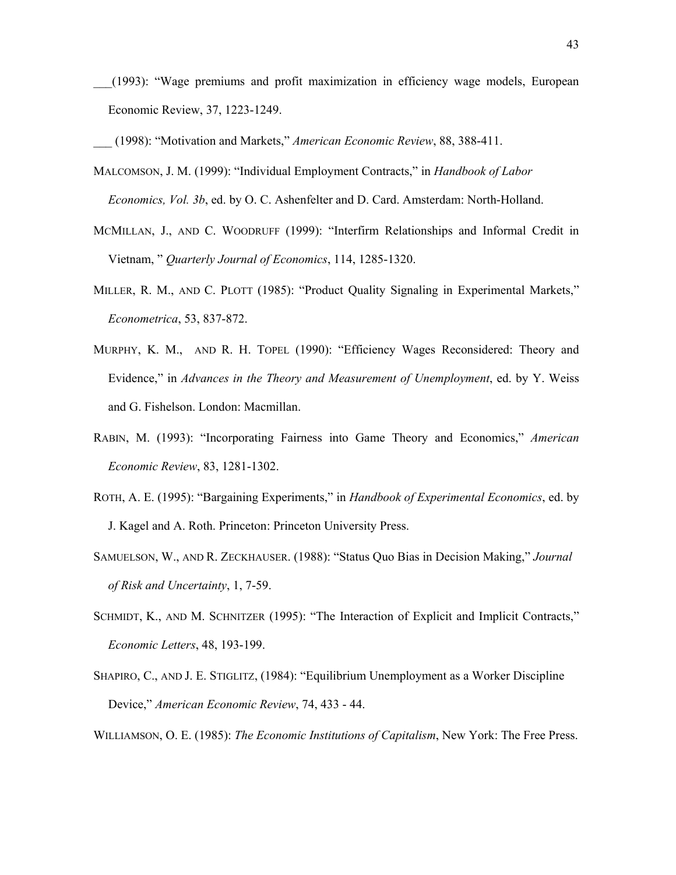\_\_\_(1993): "Wage premiums and profit maximization in efficiency wage models, European Economic Review, 37, 1223-1249.

\_\_\_ (1998): "Motivation and Markets," *American Economic Review*, 88, 388-411.

- MALCOMSON, J. M. (1999): "Individual Employment Contracts," in *Handbook of Labor Economics, Vol. 3b*, ed. by O. C. Ashenfelter and D. Card. Amsterdam: North-Holland.
- MCMILLAN, J., AND C. WOODRUFF (1999): "Interfirm Relationships and Informal Credit in Vietnam, " *Quarterly Journal of Economics*, 114, 1285-1320.
- MILLER, R. M., AND C. PLOTT (1985): "Product Quality Signaling in Experimental Markets," *Econometrica*, 53, 837-872.
- MURPHY, K. M., AND R. H. TOPEL (1990): "Efficiency Wages Reconsidered: Theory and Evidence," in *Advances in the Theory and Measurement of Unemployment*, ed. by Y. Weiss and G. Fishelson. London: Macmillan.
- RABIN, M. (1993): "Incorporating Fairness into Game Theory and Economics," *American Economic Review*, 83, 1281-1302.
- ROTH, A. E. (1995): "Bargaining Experiments," in *Handbook of Experimental Economics*, ed. by J. Kagel and A. Roth. Princeton: Princeton University Press.
- SAMUELSON, W., AND R. ZECKHAUSER. (1988): "Status Quo Bias in Decision Making," *Journal of Risk and Uncertainty*, 1, 7-59.
- SCHMIDT, K., AND M. SCHNITZER (1995): "The Interaction of Explicit and Implicit Contracts," *Economic Letters*, 48, 193-199.
- SHAPIRO, C., AND J. E. STIGLITZ, (1984): "Equilibrium Unemployment as a Worker Discipline Device," *American Economic Review*, 74, 433 - 44.

WILLIAMSON, O. E. (1985): *The Economic Institutions of Capitalism*, New York: The Free Press.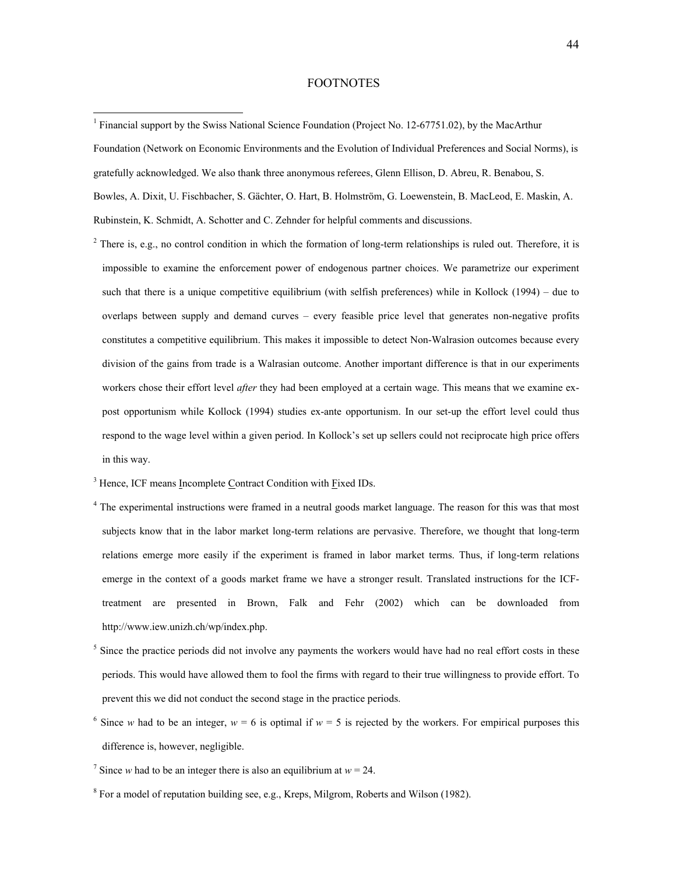#### FOOTNOTES

Foundation (Network on Economic Environments and the Evolution of Individual Preferences and Social Norms), is gratefully acknowledged. We also thank three anonymous referees, Glenn Ellison, D. Abreu, R. Benabou, S. Bowles, A. Dixit, U. Fischbacher, S. Gächter, O. Hart, B. Holmström, G. Loewenstein, B. MacLeod, E. Maskin, A. Rubinstein, K. Schmidt, A. Schotter and C. Zehnder for helpful comments and discussions.

<sup>1</sup> Financial support by the Swiss National Science Foundation (Project No. 12-67751.02), by the MacArthur

- $2$  There is, e.g., no control condition in which the formation of long-term relationships is ruled out. Therefore, it is impossible to examine the enforcement power of endogenous partner choices. We parametrize our experiment such that there is a unique competitive equilibrium (with selfish preferences) while in Kollock (1994) – due to overlaps between supply and demand curves – every feasible price level that generates non-negative profits constitutes a competitive equilibrium. This makes it impossible to detect Non-Walrasion outcomes because every division of the gains from trade is a Walrasian outcome. Another important difference is that in our experiments workers chose their effort level *after* they had been employed at a certain wage. This means that we examine expost opportunism while Kollock (1994) studies ex-ante opportunism. In our set-up the effort level could thus respond to the wage level within a given period. In Kollock's set up sellers could not reciprocate high price offers in this way.
- <sup>3</sup> Hence, ICF means Incomplete Contract Condition with Fixed IDs.

 $\overline{a}$ 

- <sup>4</sup> The experimental instructions were framed in a neutral goods market language. The reason for this was that most subjects know that in the labor market long-term relations are pervasive. Therefore, we thought that long-term relations emerge more easily if the experiment is framed in labor market terms. Thus, if long-term relations emerge in the context of a goods market frame we have a stronger result. Translated instructions for the ICFtreatment are presented in Brown, Falk and Fehr (2002) which can be downloaded from http://www.iew.unizh.ch/wp/index.php.
- 5 Since the practice periods did not involve any payments the workers would have had no real effort costs in these periods. This would have allowed them to fool the firms with regard to their true willingness to provide effort. To prevent this we did not conduct the second stage in the practice periods.
- <sup>6</sup> Since *w* had to be an integer,  $w = 6$  is optimal if  $w = 5$  is rejected by the workers. For empirical purposes this difference is, however, negligible.

<sup>&</sup>lt;sup>7</sup> Since *w* had to be an integer there is also an equilibrium at  $w = 24$ .

<sup>&</sup>lt;sup>8</sup> For a model of reputation building see, e.g., Kreps, Milgrom, Roberts and Wilson (1982).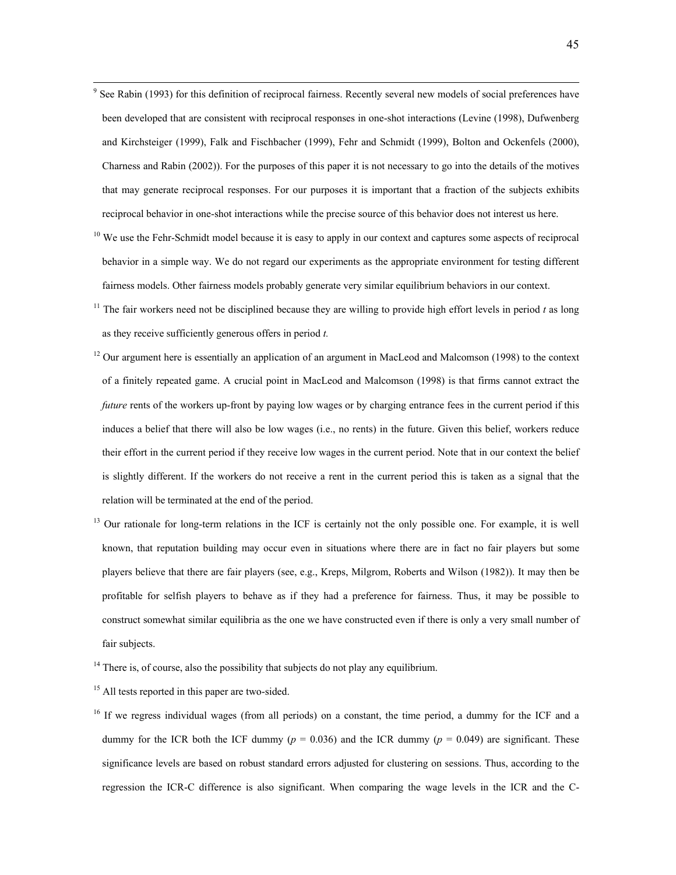- -<br>9 <sup>9</sup> See Rabin (1993) for this definition of reciprocal fairness. Recently several new models of social preferences have been developed that are consistent with reciprocal responses in one-shot interactions (Levine (1998), Dufwenberg and Kirchsteiger (1999), Falk and Fischbacher (1999), Fehr and Schmidt (1999), Bolton and Ockenfels (2000), Charness and Rabin (2002)). For the purposes of this paper it is not necessary to go into the details of the motives that may generate reciprocal responses. For our purposes it is important that a fraction of the subjects exhibits reciprocal behavior in one-shot interactions while the precise source of this behavior does not interest us here.
- $10$  We use the Fehr-Schmidt model because it is easy to apply in our context and captures some aspects of reciprocal behavior in a simple way. We do not regard our experiments as the appropriate environment for testing different fairness models. Other fairness models probably generate very similar equilibrium behaviors in our context.
- <sup>11</sup> The fair workers need not be disciplined because they are willing to provide high effort levels in period  $t$  as long as they receive sufficiently generous offers in period *t.*
- $12$  Our argument here is essentially an application of an argument in MacLeod and Malcomson (1998) to the context of a finitely repeated game. A crucial point in MacLeod and Malcomson (1998) is that firms cannot extract the *future* rents of the workers up-front by paying low wages or by charging entrance fees in the current period if this induces a belief that there will also be low wages (i.e., no rents) in the future. Given this belief, workers reduce their effort in the current period if they receive low wages in the current period. Note that in our context the belief is slightly different. If the workers do not receive a rent in the current period this is taken as a signal that the relation will be terminated at the end of the period.
- <sup>13</sup> Our rationale for long-term relations in the ICF is certainly not the only possible one. For example, it is well known, that reputation building may occur even in situations where there are in fact no fair players but some players believe that there are fair players (see, e.g., Kreps, Milgrom, Roberts and Wilson (1982)). It may then be profitable for selfish players to behave as if they had a preference for fairness. Thus, it may be possible to construct somewhat similar equilibria as the one we have constructed even if there is only a very small number of fair subjects.
- $14$  There is, of course, also the possibility that subjects do not play any equilibrium.
- <sup>15</sup> All tests reported in this paper are two-sided.
- <sup>16</sup> If we regress individual wages (from all periods) on a constant, the time period, a dummy for the ICF and a dummy for the ICR both the ICF dummy ( $p = 0.036$ ) and the ICR dummy ( $p = 0.049$ ) are significant. These significance levels are based on robust standard errors adjusted for clustering on sessions. Thus, according to the regression the ICR-C difference is also significant. When comparing the wage levels in the ICR and the C-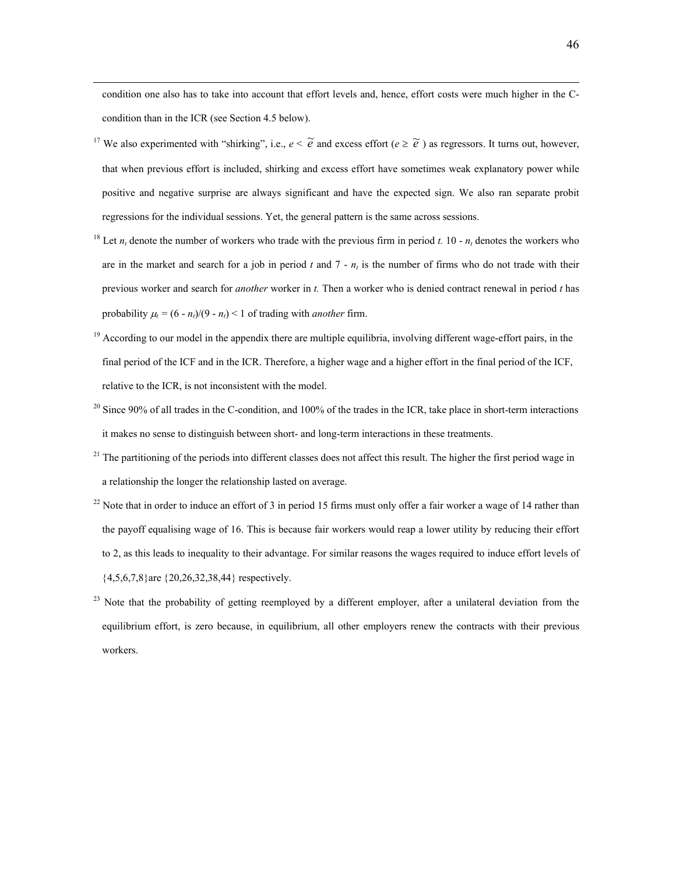condition one also has to take into account that effort levels and, hence, effort costs were much higher in the Ccondition than in the ICR (see Section 4.5 below).

- <sup>17</sup> We also experimented with "shirking", i.e.,  $e < \tilde{e}$  and excess effort ( $e \ge \tilde{e}$ ) as regressors. It turns out, however, that when previous effort is included, shirking and excess effort have sometimes weak explanatory power while positive and negative surprise are always significant and have the expected sign. We also ran separate probit regressions for the individual sessions. Yet, the general pattern is the same across sessions.
- <sup>18</sup> Let  $n_t$  denote the number of workers who trade with the previous firm in period t. 10  $n_t$  denotes the workers who are in the market and search for a job in period  $t$  and  $7 - n<sub>t</sub>$  is the number of firms who do not trade with their previous worker and search for *another* worker in *t.* Then a worker who is denied contract renewal in period *t* has probability  $\mu_t = (6 - n_t)/(9 - n_t) < 1$  of trading with *another* firm.
- $19$  According to our model in the appendix there are multiple equilibria, involving different wage-effort pairs, in the final period of the ICF and in the ICR. Therefore, a higher wage and a higher effort in the final period of the ICF, relative to the ICR, is not inconsistent with the model.
- <sup>20</sup> Since 90% of all trades in the C-condition, and 100% of the trades in the ICR, take place in short-term interactions it makes no sense to distinguish between short- and long-term interactions in these treatments.
- $2<sup>1</sup>$  The partitioning of the periods into different classes does not affect this result. The higher the first period wage in a relationship the longer the relationship lasted on average.
- $^{22}$  Note that in order to induce an effort of 3 in period 15 firms must only offer a fair worker a wage of 14 rather than the payoff equalising wage of 16. This is because fair workers would reap a lower utility by reducing their effort to 2, as this leads to inequality to their advantage. For similar reasons the wages required to induce effort levels of {4,5,6,7,8}are {20,26,32,38,44} respectively.
- <sup>23</sup> Note that the probability of getting reemployed by a different employer, after a unilateral deviation from the equilibrium effort, is zero because, in equilibrium, all other employers renew the contracts with their previous workers.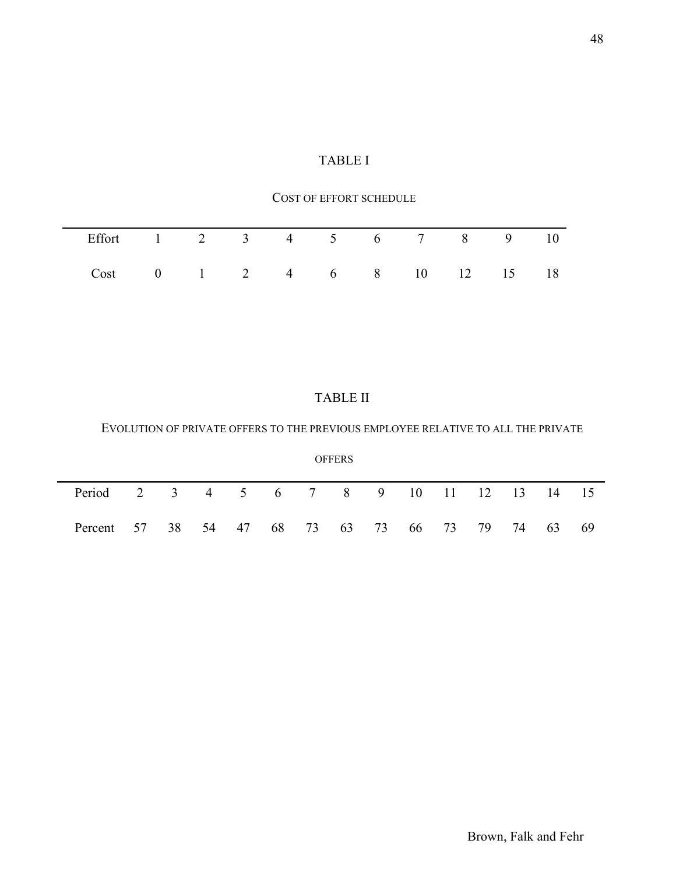## TABLE I

#### COST OF EFFORT SCHEDULE

| Effort 1 2 3 4 5 6 7 8 9 10  |  |  |  |  |  |
|------------------------------|--|--|--|--|--|
| Cost 0 1 2 4 6 8 10 12 15 18 |  |  |  |  |  |

## TABLE II

#### EVOLUTION OF PRIVATE OFFERS TO THE PREVIOUS EMPLOYEE RELATIVE TO ALL THE PRIVATE

|                                                |  |                                   |  | <b>OFFERS</b> |  |  |  |     |
|------------------------------------------------|--|-----------------------------------|--|---------------|--|--|--|-----|
| Period                                         |  | 2 3 4 5 6 7 8 9 10 11 12 13 14 15 |  |               |  |  |  |     |
| Percent 57 38 54 47 68 73 63 73 66 73 79 74 63 |  |                                   |  |               |  |  |  | -69 |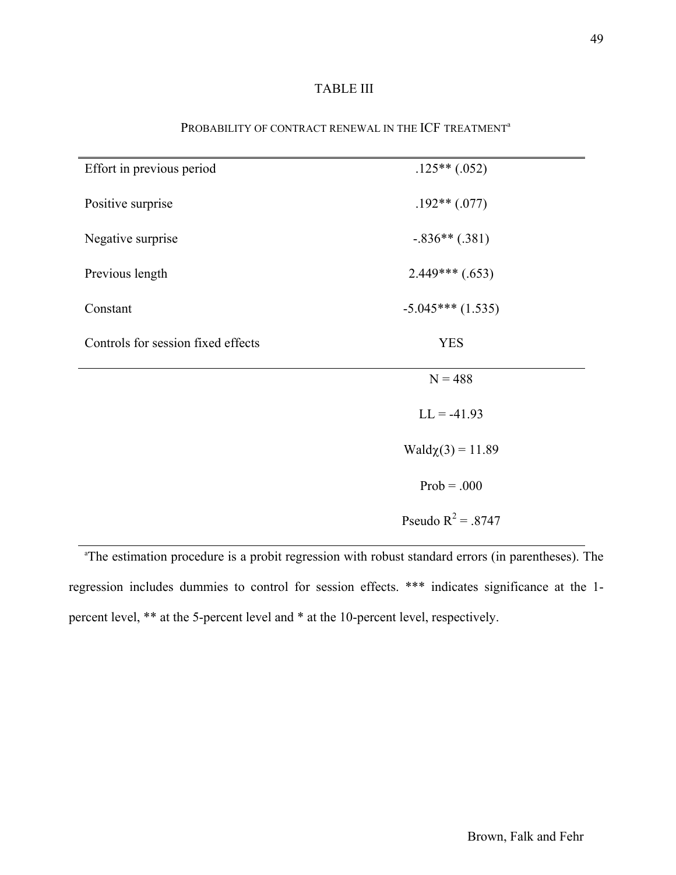#### TABLE III

| Effort in previous period          | $.125**(.052)$           |
|------------------------------------|--------------------------|
| Positive surprise                  | $.192**(.077)$           |
| Negative surprise                  | $-.836**(.381)$          |
| Previous length                    | $2.449***$ (.653)        |
| Constant                           | $-5.045***(1.535)$       |
| Controls for session fixed effects | <b>YES</b>               |
|                                    | $N = 488$                |
|                                    | $LL = -41.93$            |
|                                    | $Wald_{\chi}(3) = 11.89$ |
|                                    | $Prob = .000$            |
|                                    | Pseudo $R^2 = .8747$     |
|                                    |                          |

#### PROBABILITY OF CONTRACT RENEWAL IN THE ICF TREATMENT<sup>a</sup>

<sup>a</sup>The estimation procedure is a probit regression with robust standard errors (in parentheses). The regression includes dummies to control for session effects. \*\*\* indicates significance at the 1 percent level, \*\* at the 5-percent level and \* at the 10-percent level, respectively.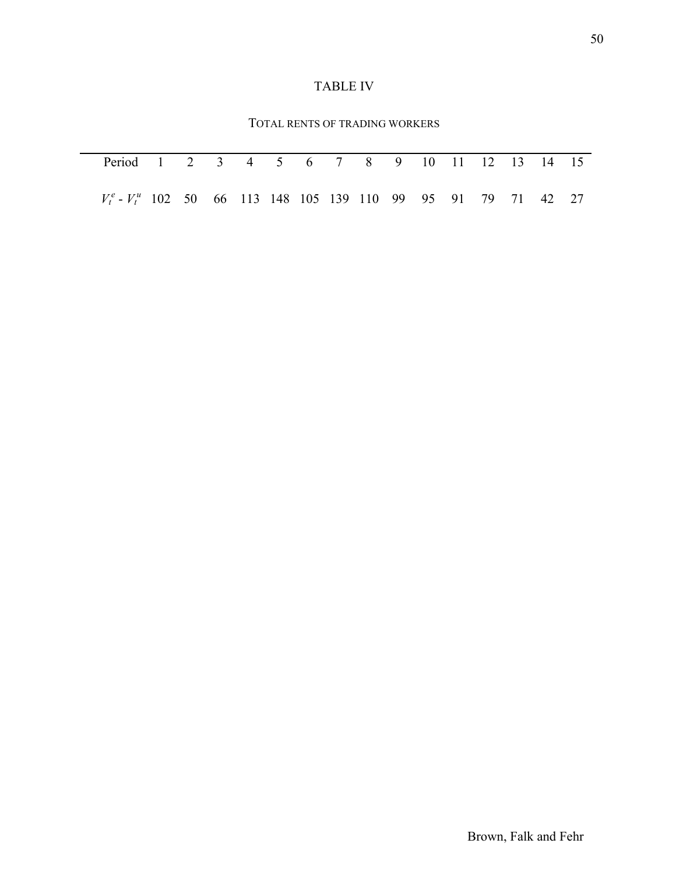#### TABLE IV

#### TOTAL RENTS OF TRADING WORKERS

| Period 1 2 3 4 5 6 7 8 9 10 11 12 13 14 15                           |  |  |  |  |  |  |  |  |
|----------------------------------------------------------------------|--|--|--|--|--|--|--|--|
| $V_t^e$ - $V_t^u$ 102 50 66 113 148 105 139 110 99 95 91 79 71 42 27 |  |  |  |  |  |  |  |  |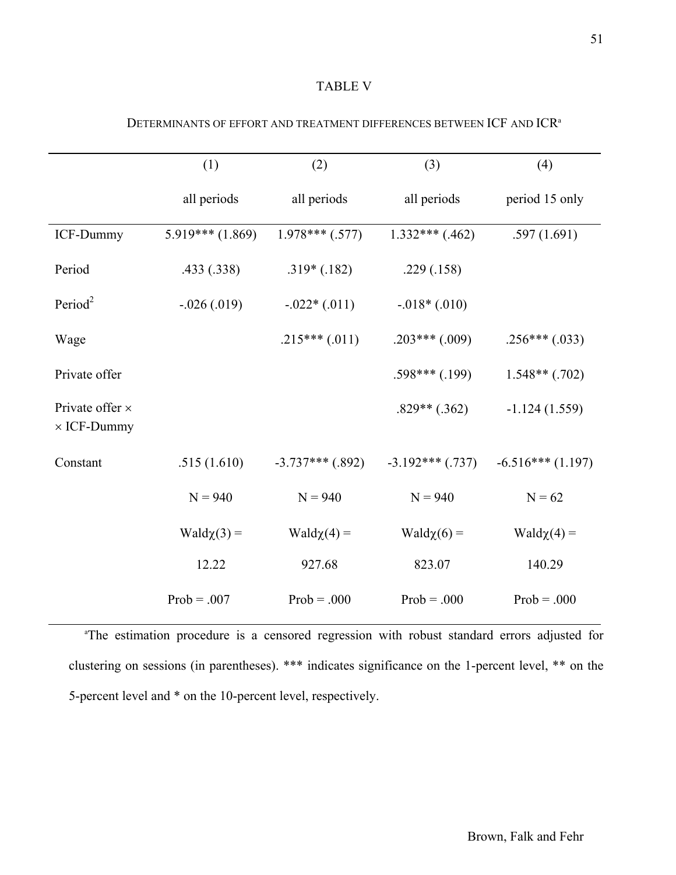#### TABLE V

|                                       | (1)                | (2)                | (3)                | (4)                |
|---------------------------------------|--------------------|--------------------|--------------------|--------------------|
|                                       | all periods        | all periods        | all periods        | period 15 only     |
| ICF-Dummy                             | $5.919***$ (1.869) | $1.978***$ (.577)  | $1.332***$ (.462)  | .597(1.691)        |
| Period                                | .433(.338)         | $.319*(.182)$      | .229(.158)         |                    |
| Period <sup>2</sup>                   | $-.026(.019)$      | $-.022*(.011)$     | $-0.018*(0.010)$   |                    |
| Wage                                  |                    | $.215***(.011)$    | $.203***(.009)$    | $.256***$ (.033)   |
| Private offer                         |                    |                    | $.598***(.199)$    | $1.548**$ (.702)   |
| Private offer ×<br>$\times$ ICF-Dummy |                    |                    | $.829**(.362)$     | $-1.124(1.559)$    |
| Constant                              | .515(1.610)        | $-3.737***$ (.892) | $-3.192***$ (.737) | $-6.516***(1.197)$ |
|                                       | $N = 940$          | $N = 940$          | $N = 940$          | $N = 62$           |
|                                       | $Wald\chi(3) =$    | $Wald\chi(4) =$    | $Wald\chi(6) =$    | $Wald\chi(4) =$    |
|                                       | 12.22              | 927.68             | 823.07             | 140.29             |
|                                       | $Prob = .007$      | $Prob = .000$      | $Prob = .000$      | $Prob = .000$      |

DETERMINANTS OF EFFORT AND TREATMENT DIFFERENCES BETWEEN ICF AND ICR<sup>a</sup>

a The estimation procedure is a censored regression with robust standard errors adjusted for clustering on sessions (in parentheses). \*\*\* indicates significance on the 1-percent level, \*\* on the 5-percent level and \* on the 10-percent level, respectively.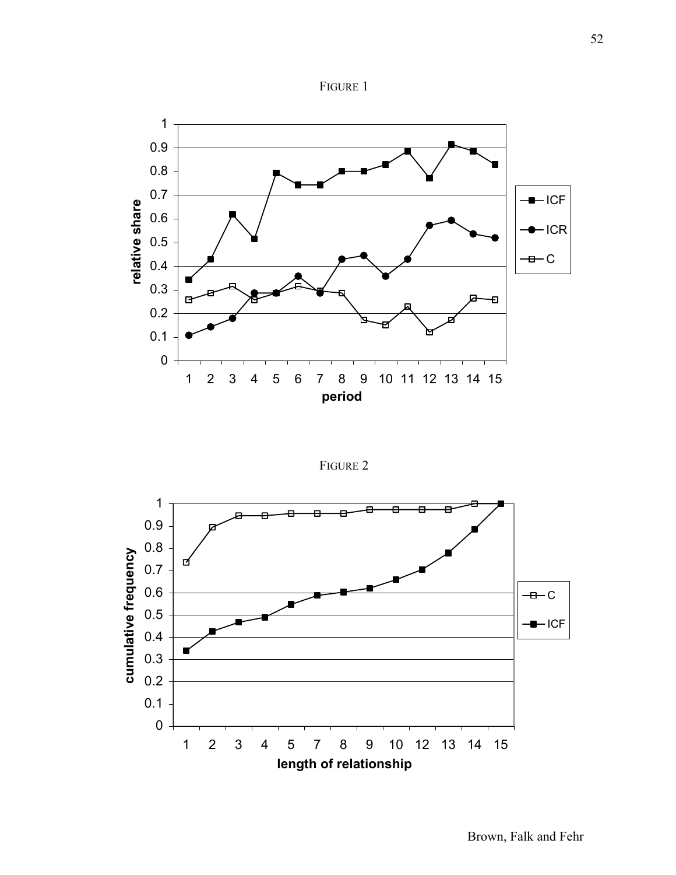



FIGURE 2



Brown, Falk and Fehr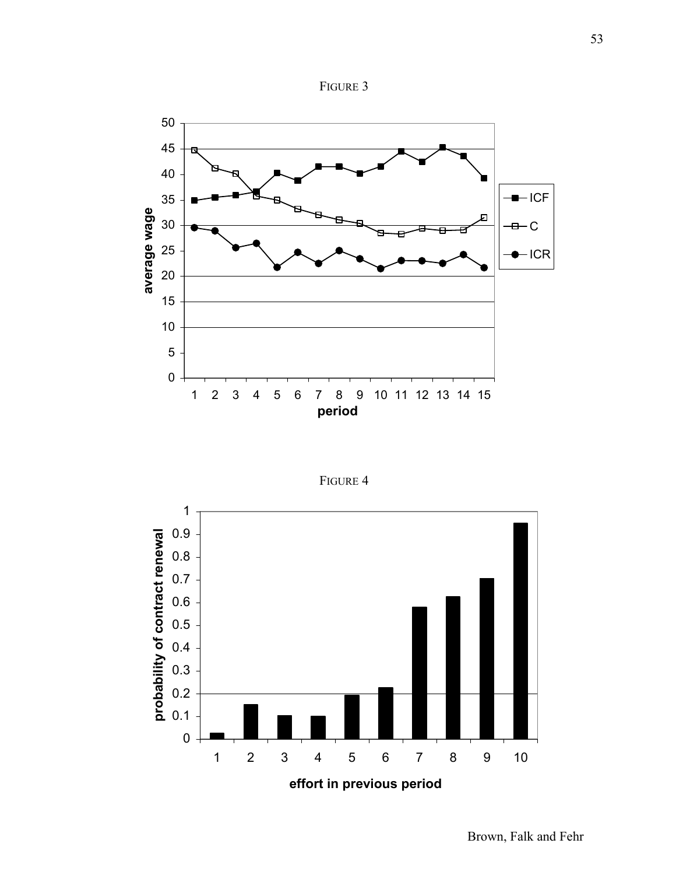



FIGURE 4



Brown, Falk and Fehr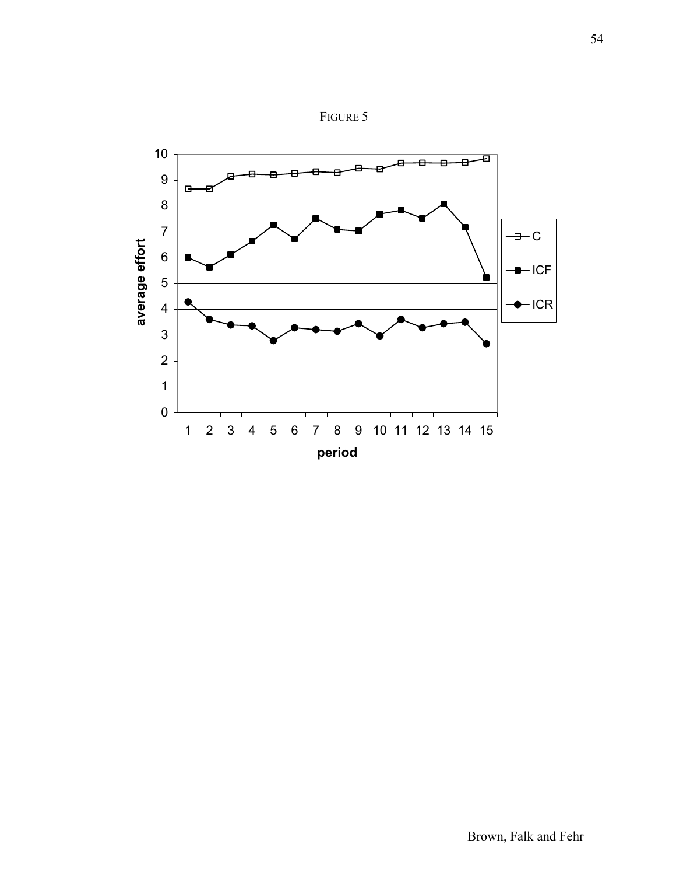

FIGURE 5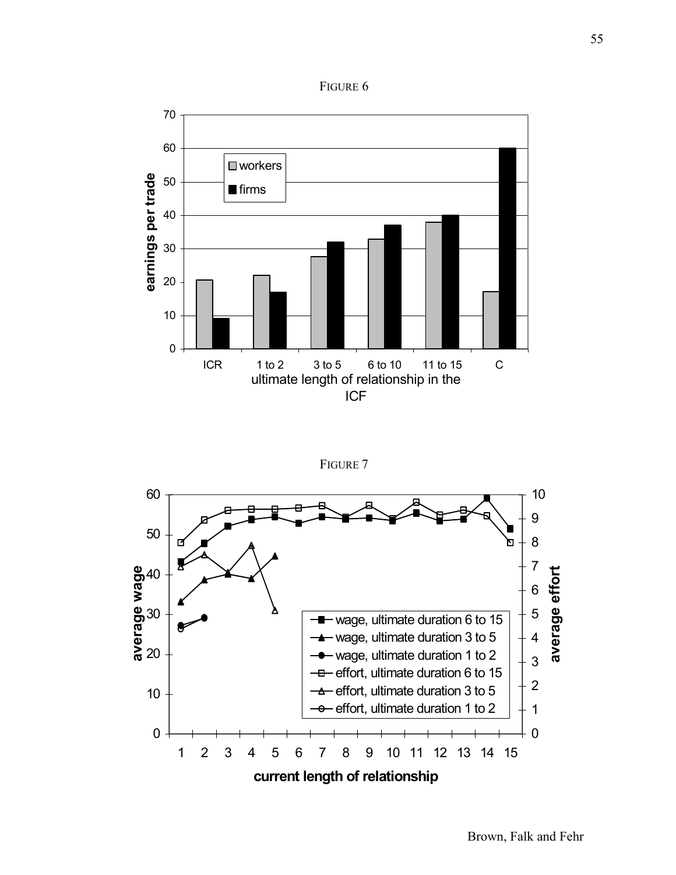FIGURE 6



FIGURE 7

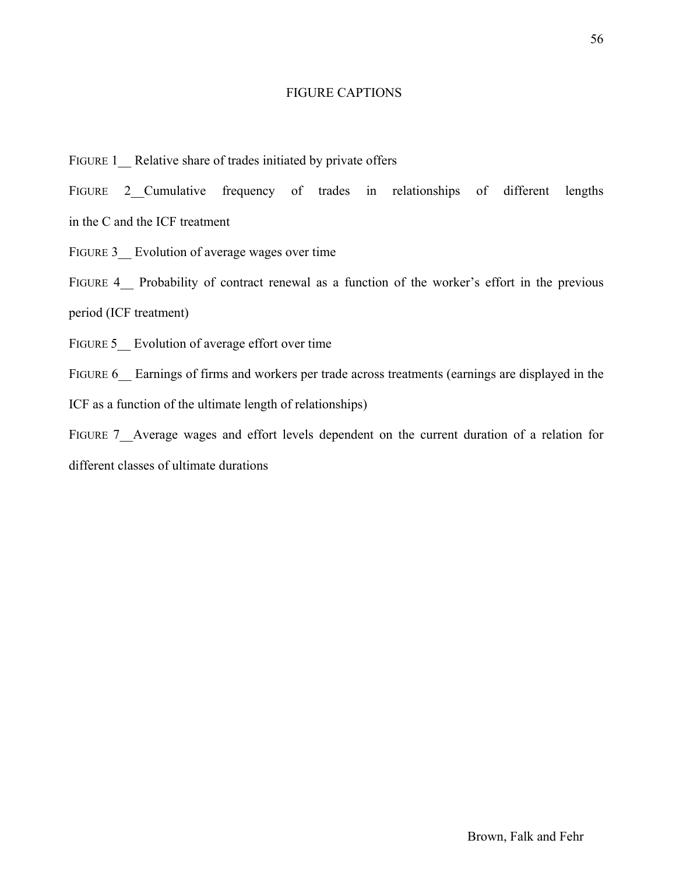#### FIGURE CAPTIONS

- FIGURE 1 Relative share of trades initiated by private offers
- FIGURE 2 Cumulative frequency of trades in relationships of different lengths in the C and the ICF treatment
- FIGURE 3 Evolution of average wages over time
- FIGURE 4 Probability of contract renewal as a function of the worker's effort in the previous period (ICF treatment)
- FIGURE 5 Evolution of average effort over time
- FIGURE 6 Earnings of firms and workers per trade across treatments (earnings are displayed in the
- ICF as a function of the ultimate length of relationships)
- FIGURE 7 Average wages and effort levels dependent on the current duration of a relation for different classes of ultimate durations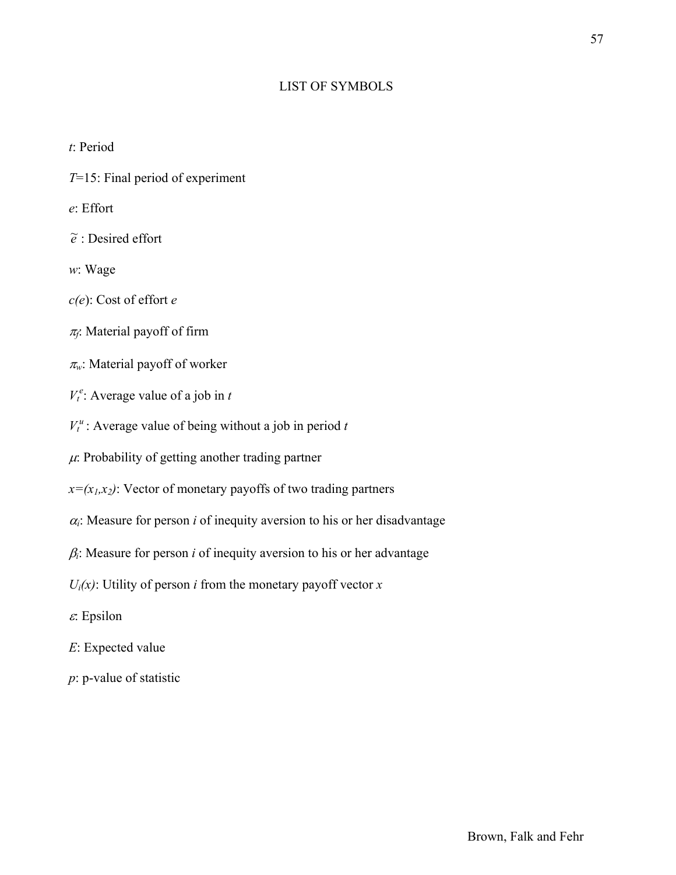- *t*: Period
- *T*=15: Final period of experiment
- *e*: Effort
- $\widetilde{e}$  : Desired effort
- *w*: Wage
- *c(e*): Cost of effort *e*
- <sup>π</sup>*f*: Material payoff of firm
- <sup>π</sup>*w*: Material payoff of worker
- $V_t^e$ : Average value of a job in t
- $V_t^u$ : Average value of being without a job in period t
- $\mu$ : Probability of getting another trading partner
- $x=(x_1,x_2)$ : Vector of monetary payoffs of two trading partners
- <sup>α</sup>*i*: Measure for person *i* of inequity aversion to his or her disadvantage
- $\beta$ *i*: Measure for person *i* of inequity aversion to his or her advantage
- $U_i(x)$ : Utility of person *i* from the monetary payoff vector *x*
- $\varepsilon$ : Epsilon
- *E*: Expected value
- *p*: p-value of statistic